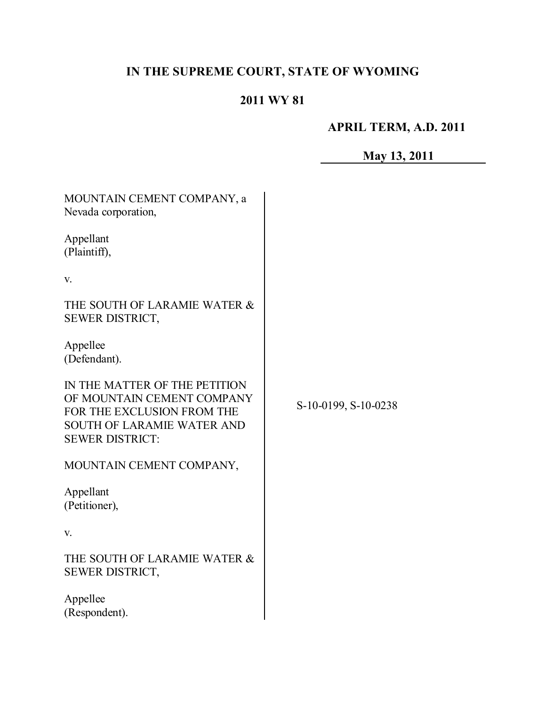# **IN THE SUPREME COURT, STATE OF WYOMING**

# **2011 WY 81**

# **APRIL TERM, A.D. 2011**

# **May 13, 2011**

| MOUNTAIN CEMENT COMPANY, a<br>Nevada corporation,                                                                                                        |                      |
|----------------------------------------------------------------------------------------------------------------------------------------------------------|----------------------|
| Appellant<br>(Plaintiff),                                                                                                                                |                      |
| V.                                                                                                                                                       |                      |
| THE SOUTH OF LARAMIE WATER &<br>SEWER DISTRICT,                                                                                                          |                      |
| Appellee<br>(Defendant).                                                                                                                                 |                      |
| IN THE MATTER OF THE PETITION<br>OF MOUNTAIN CEMENT COMPANY<br>FOR THE EXCLUSION FROM THE<br><b>SOUTH OF LARAMIE WATER AND</b><br><b>SEWER DISTRICT:</b> | S-10-0199, S-10-0238 |
| MOUNTAIN CEMENT COMPANY,                                                                                                                                 |                      |
| Appellant<br>(Petitioner),                                                                                                                               |                      |
| V.                                                                                                                                                       |                      |
| THE SOUTH OF LARAMIE WATER &<br>SEWER DISTRICT,                                                                                                          |                      |
| Appellee<br>(Respondent).                                                                                                                                |                      |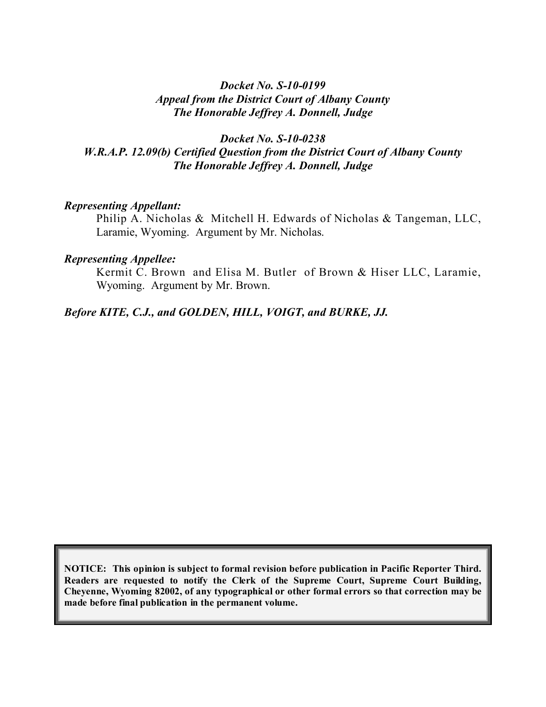## *Docket No. S-10-0199 Appeal from the District Court of Albany County The Honorable Jeffrey A. Donnell, Judge*

# *Docket No. S-10-0238 W.R.A.P. 12.09(b) Certified Question from the District Court of Albany County The Honorable Jeffrey A. Donnell, Judge*

### *Representing Appellant:*

Philip A. Nicholas & Mitchell H. Edwards of Nicholas & Tangeman, LLC, Laramie, Wyoming. Argument by Mr. Nicholas.

#### *Representing Appellee:*

Kermit C. Brown and Elisa M. Butler of Brown & Hiser LLC, Laramie, Wyoming. Argument by Mr. Brown.

### *Before KITE, C.J., and GOLDEN, HILL, VOIGT, and BURKE, JJ.*

**NOTICE: This opinion is subject to formal revision before publication in Pacific Reporter Third. Readers are requested to notify the Clerk of the Supreme Court, Supreme Court Building, Cheyenne, Wyoming 82002, of any typographical or other formal errors so that correction may be made before final publication in the permanent volume.**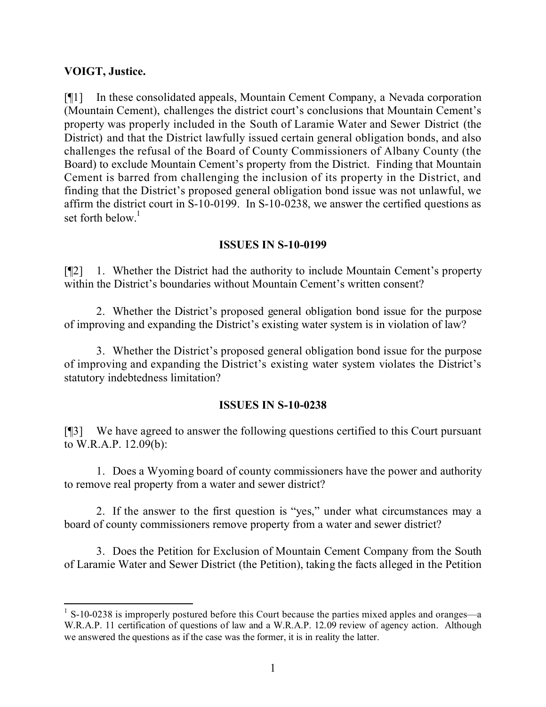# **VOIGT, Justice.**

[¶1] In these consolidated appeals, Mountain Cement Company, a Nevada corporation (Mountain Cement), challenges the district court's conclusions that Mountain Cement's property was properly included in the South of Laramie Water and Sewer District (the District) and that the District lawfully issued certain general obligation bonds, and also challenges the refusal of the Board of County Commissioners of Albany County (the Board) to exclude Mountain Cement's property from the District. Finding that Mountain Cement is barred from challenging the inclusion of its property in the District, and finding that the District's proposed general obligation bond issue was not unlawful, we affirm the district court in S-10-0199. In S-10-0238, we answer the certified questions as set forth below.<sup>1</sup>

## **ISSUES IN S-10-0199**

[¶2] 1. Whether the District had the authority to include Mountain Cement's property within the District's boundaries without Mountain Cement's written consent?

2. Whether the District's proposed general obligation bond issue for the purpose of improving and expanding the District's existing water system is in violation of law?

3. Whether the District's proposed general obligation bond issue for the purpose of improving and expanding the District's existing water system violates the District's statutory indebtedness limitation?

### **ISSUES IN S-10-0238**

[¶3] We have agreed to answer the following questions certified to this Court pursuant to W.R.A.P. 12.09(b):

1. Does a Wyoming board of county commissioners have the power and authority to remove real property from a water and sewer district?

2. If the answer to the first question is "yes," under what circumstances may a board of county commissioners remove property from a water and sewer district?

3. Does the Petition for Exclusion of Mountain Cement Company from the South of Laramie Water and Sewer District (the Petition), taking the facts alleged in the Petition

 <sup>1</sup> S-10-0238 is improperly postured before this Court because the parties mixed apples and oranges—a W.R.A.P. 11 certification of questions of law and a W.R.A.P. 12.09 review of agency action. Although we answered the questions as if the case was the former, it is in reality the latter.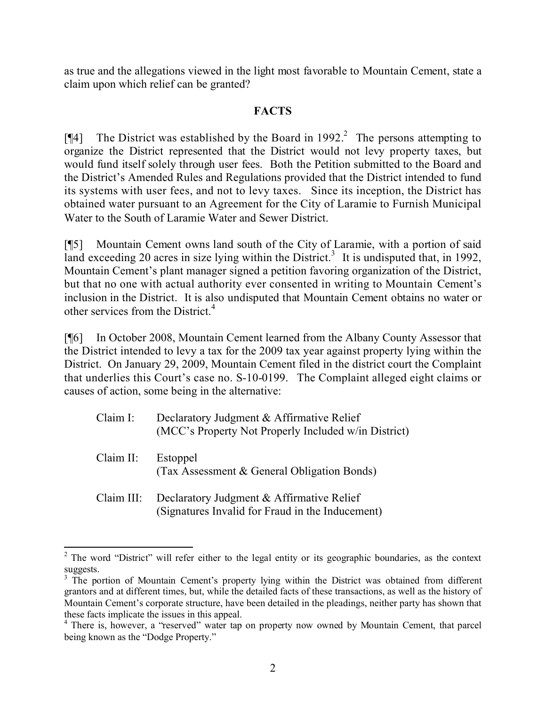as true and the allegations viewed in the light most favorable to Mountain Cement, state a claim upon which relief can be granted?

# **FACTS**

[ $\llbracket \phi \rrbracket$  The District was established by the Board in 1992.<sup>2</sup> The persons attempting to organize the District represented that the District would not levy property taxes, but would fund itself solely through user fees. Both the Petition submitted to the Board and the District's Amended Rules and Regulations provided that the District intended to fund its systems with user fees, and not to levy taxes. Since its inception, the District has obtained water pursuant to an Agreement for the City of Laramie to Furnish Municipal Water to the South of Laramie Water and Sewer District.

[¶5] Mountain Cement owns land south of the City of Laramie, with a portion of said land exceeding 20 acres in size lying within the District.<sup>3</sup> It is undisputed that, in 1992, Mountain Cement's plant manager signed a petition favoring organization of the District, but that no one with actual authority ever consented in writing to Mountain Cement's inclusion in the District. It is also undisputed that Mountain Cement obtains no water or other services from the District<sup> $4$ </sup>

[¶6] In October 2008, Mountain Cement learned from the Albany County Assessor that the District intended to levy a tax for the 2009 tax year against property lying within the District. On January 29, 2009, Mountain Cement filed in the district court the Complaint that underlies this Court's case no. S-10-0199. The Complaint alleged eight claims or causes of action, some being in the alternative:

| Claim I:  | Declaratory Judgment & Affirmative Relief<br>(MCC's Property Not Properly Included w/in District)        |
|-----------|----------------------------------------------------------------------------------------------------------|
| Claim II: | Estoppel<br>(Tax Assessment & General Obligation Bonds)                                                  |
|           | Claim III: Declaratory Judgment & Affirmative Relief<br>(Signatures Invalid for Fraud in the Inducement) |

  $2$  The word "District" will refer either to the legal entity or its geographic boundaries, as the context suggests.

<sup>&</sup>lt;sup>3</sup> The portion of Mountain Cement's property lying within the District was obtained from different grantors and at different times, but, while the detailed facts of these transactions, as well as the history of Mountain Cement's corporate structure, have been detailed in the pleadings, neither party has shown that these facts implicate the issues in this appeal.

<sup>&</sup>lt;sup>4</sup> There is, however, a "reserved" water tap on property now owned by Mountain Cement, that parcel being known as the "Dodge Property."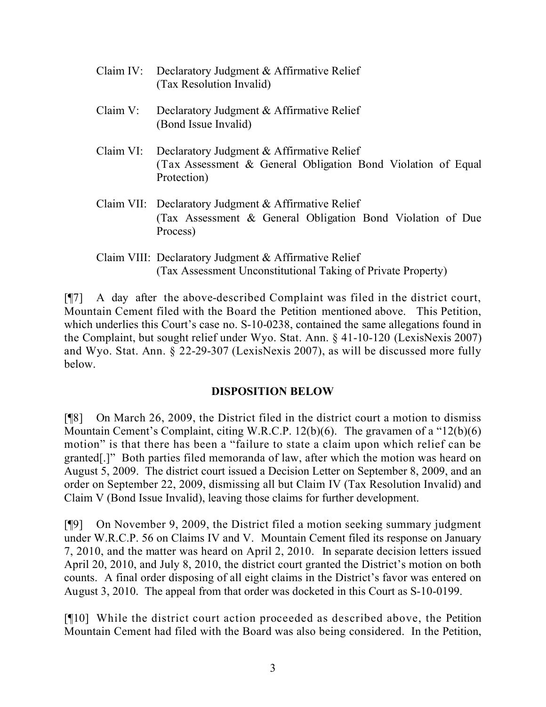- Claim IV: Declaratory Judgment & Affirmative Relief (Tax Resolution Invalid) Claim V: Declaratory Judgment & Affirmative Relief (Bond Issue Invalid) Claim VI: Declaratory Judgment & Affirmative Relief (Tax Assessment & General Obligation Bond Violation of Equal Protection) Claim VII: Declaratory Judgment & Affirmative Relief (Tax Assessment & General Obligation Bond Violation of Due Process)
	- Claim VIII: Declaratory Judgment & Affirmative Relief (Tax Assessment Unconstitutional Taking of Private Property)

[¶7] A day after the above-described Complaint was filed in the district court, Mountain Cement filed with the Board the Petition mentioned above. This Petition, which underlies this Court's case no. S-10-0238, contained the same allegations found in the Complaint, but sought relief under Wyo. Stat. Ann. § 41-10-120 (LexisNexis 2007) and Wyo. Stat. Ann. § 22-29-307 (LexisNexis 2007), as will be discussed more fully below.

### **DISPOSITION BELOW**

[¶8] On March 26, 2009, the District filed in the district court a motion to dismiss Mountain Cement's Complaint, citing W.R.C.P. 12(b)(6). The gravamen of a "12(b)(6) motion" is that there has been a "failure to state a claim upon which relief can be granted[.]" Both parties filed memoranda of law, after which the motion was heard on August 5, 2009. The district court issued a Decision Letter on September 8, 2009, and an order on September 22, 2009, dismissing all but Claim IV (Tax Resolution Invalid) and Claim V (Bond Issue Invalid), leaving those claims for further development.

[¶9] On November 9, 2009, the District filed a motion seeking summary judgment under W.R.C.P. 56 on Claims IV and V. Mountain Cement filed its response on January 7, 2010, and the matter was heard on April 2, 2010. In separate decision letters issued April 20, 2010, and July 8, 2010, the district court granted the District's motion on both counts. A final order disposing of all eight claims in the District's favor was entered on August 3, 2010. The appeal from that order was docketed in this Court as S-10-0199.

[¶10] While the district court action proceeded as described above, the Petition Mountain Cement had filed with the Board was also being considered. In the Petition,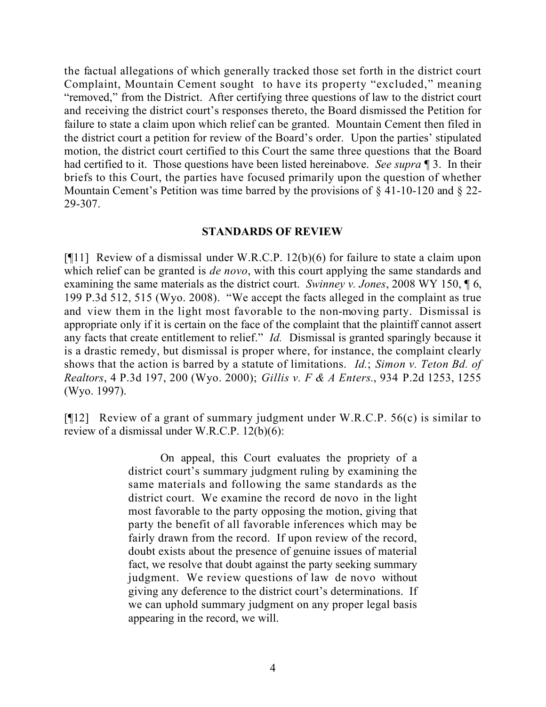the factual allegations of which generally tracked those set forth in the district court Complaint, Mountain Cement sought to have its property "excluded," meaning "removed," from the District. After certifying three questions of law to the district court and receiving the district court's responses thereto, the Board dismissed the Petition for failure to state a claim upon which relief can be granted. Mountain Cement then filed in the district court a petition for review of the Board's order. Upon the parties' stipulated motion, the district court certified to this Court the same three questions that the Board had certified to it. Those questions have been listed hereinabove. *See supra* ¶ 3. In their briefs to this Court, the parties have focused primarily upon the question of whether Mountain Cement's Petition was time barred by the provisions of § 41-10-120 and § 22-29-307.

## **STANDARDS OF REVIEW**

[¶11] Review of a dismissal under W.R.C.P. 12(b)(6) for failure to state a claim upon which relief can be granted is *de novo*, with this court applying the same standards and examining the same materials as the district court. *Swinney v. Jones*, 2008 WY 150, ¶ 6, 199 P.3d 512, 515 (Wyo. 2008). "We accept the facts alleged in the complaint as true and view them in the light most favorable to the non-moving party. Dismissal is appropriate only if it is certain on the face of the complaint that the plaintiff cannot assert any facts that create entitlement to relief." *Id.* Dismissal is granted sparingly because it is a drastic remedy, but dismissal is proper where, for instance, the complaint clearly shows that the action is barred by a statute of limitations. *Id.*; *Simon v. Teton Bd. of Realtors*, 4 P.3d 197, 200 (Wyo. 2000); *Gillis v. F & A Enters.*, 934 P.2d 1253, 1255 (Wyo. 1997).

[¶12] Review of a grant of summary judgment under W.R.C.P. 56(c) is similar to review of a dismissal under W.R.C.P. 12(b)(6):

> On appeal, this Court evaluates the propriety of a district court's summary judgment ruling by examining the same materials and following the same standards as the district court. We examine the record de novo in the light most favorable to the party opposing the motion, giving that party the benefit of all favorable inferences which may be fairly drawn from the record. If upon review of the record, doubt exists about the presence of genuine issues of material fact, we resolve that doubt against the party seeking summary judgment. We review questions of law de novo without giving any deference to the district court's determinations. If we can uphold summary judgment on any proper legal basis appearing in the record, we will.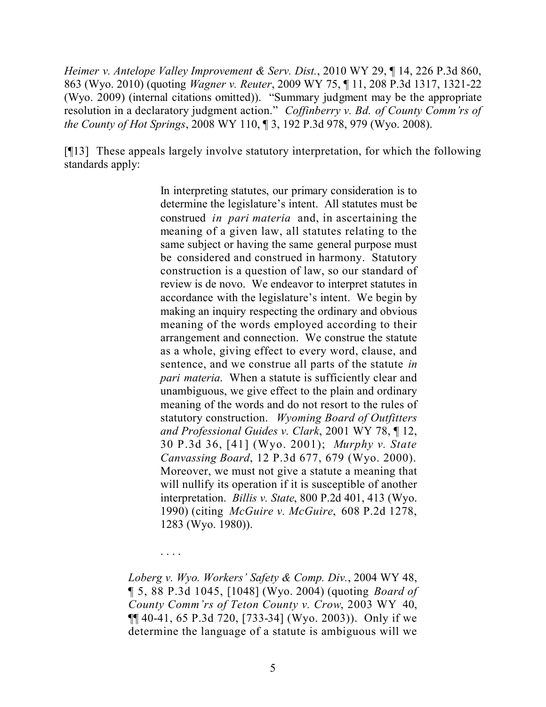*Heimer v. Antelope Valley Improvement & Serv. Dist.*, 2010 WY 29, ¶ 14, 226 P.3d 860, 863 (Wyo. 2010) (quoting *Wagner v. Reuter*, 2009 WY 75, ¶ 11, 208 P.3d 1317, 1321-22 (Wyo. 2009) (internal citations omitted)). "Summary judgment may be the appropriate resolution in a declaratory judgment action." *Coffinberry v. Bd. of County Comm'rs of the County of Hot Springs*, 2008 WY 110, ¶ 3, 192 P.3d 978, 979 (Wyo. 2008).

[¶13] These appeals largely involve statutory interpretation, for which the following standards apply:

> In interpreting statutes, our primary consideration is to determine the legislature's intent. All statutes must be construed *in pari materia* and, in ascertaining the meaning of a given law, all statutes relating to the same subject or having the same general purpose must be considered and construed in harmony. Statutory construction is a question of law, so our standard of review is de novo. We endeavor to interpret statutes in accordance with the legislature's intent. We begin by making an inquiry respecting the ordinary and obvious meaning of the words employed according to their arrangement and connection. We construe the statute as a whole, giving effect to every word, clause, and sentence, and we construe all parts of the statute *in pari materia*. When a statute is sufficiently clear and unambiguous, we give effect to the plain and ordinary meaning of the words and do not resort to the rules of statutory construction. *Wyoming Board of Outfitters and Professional Guides v. Clark*, 2001 WY 78, ¶ 12, 30 P.3d 36, [41] (Wyo. 2001); *Murphy v. State Canvassing Board*, 12 P.3d 677, 679 (Wyo. 2000). Moreover, we must not give a statute a meaning that will nullify its operation if it is susceptible of another interpretation. *Billis v. State*, 800 P.2d 401, 413 (Wyo. 1990) (citing *McGuire v. McGuire*, 608 P.2d 1278, 1283 (Wyo. 1980)).

*Loberg v. Wyo. Workers' Safety & Comp. Div.*, 2004 WY 48, ¶ 5, 88 P.3d 1045, [1048] (Wyo. 2004) (quoting *Board of County Comm'rs of Teton County v. Crow*, 2003 WY 40, ¶¶ 40-41, 65 P.3d 720, [733-34] (Wyo. 2003)). Only if we determine the language of a statute is ambiguous will we

. . . .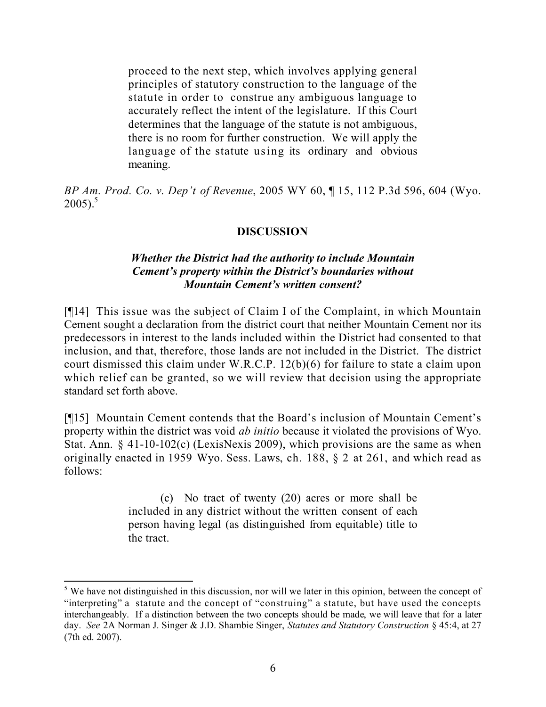proceed to the next step, which involves applying general principles of statutory construction to the language of the statute in order to construe any ambiguous language to accurately reflect the intent of the legislature. If this Court determines that the language of the statute is not ambiguous, there is no room for further construction. We will apply the language of the statute using its ordinary and obvious meaning.

*BP Am. Prod. Co. v. Dep't of Revenue*, 2005 WY 60, ¶ 15, 112 P.3d 596, 604 (Wyo.  $2005$ )<sup>5</sup>

## **DISCUSSION**

## *Whether the District had the authority to include Mountain Cement's property within the District's boundaries without Mountain Cement's written consent?*

[¶14] This issue was the subject of Claim I of the Complaint, in which Mountain Cement sought a declaration from the district court that neither Mountain Cement nor its predecessors in interest to the lands included within the District had consented to that inclusion, and that, therefore, those lands are not included in the District. The district court dismissed this claim under W.R.C.P. 12(b)(6) for failure to state a claim upon which relief can be granted, so we will review that decision using the appropriate standard set forth above.

[¶15] Mountain Cement contends that the Board's inclusion of Mountain Cement's property within the district was void *ab initio* because it violated the provisions of Wyo. Stat. Ann. § 41-10-102(c) (LexisNexis 2009), which provisions are the same as when originally enacted in 1959 Wyo. Sess. Laws, ch. 188, § 2 at 261, and which read as follows:

> (c) No tract of twenty (20) acres or more shall be included in any district without the written consent of each person having legal (as distinguished from equitable) title to the tract.

  $<sup>5</sup>$  We have not distinguished in this discussion, nor will we later in this opinion, between the concept of</sup> "interpreting" a statute and the concept of "construing" a statute, but have used the concepts interchangeably. If a distinction between the two concepts should be made, we will leave that for a later day. *See* 2A Norman J. Singer & J.D. Shambie Singer, *Statutes and Statutory Construction* § 45:4, at 27 (7th ed. 2007).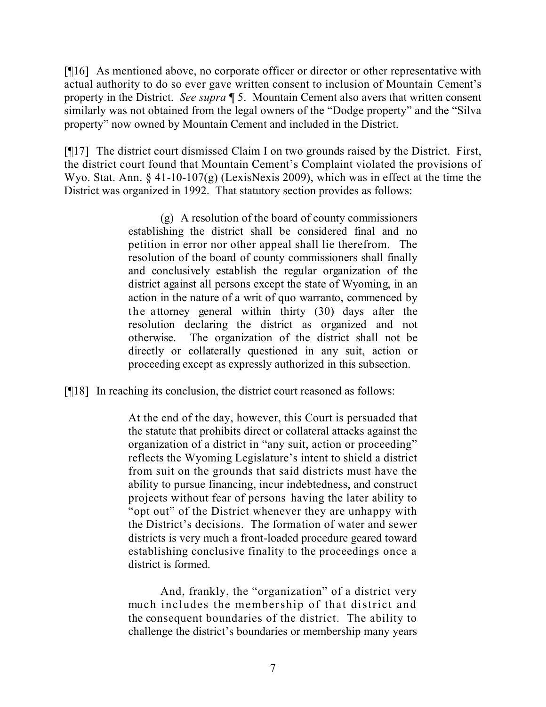[¶16] As mentioned above, no corporate officer or director or other representative with actual authority to do so ever gave written consent to inclusion of Mountain Cement's property in the District. *See supra* ¶ 5. Mountain Cement also avers that written consent similarly was not obtained from the legal owners of the "Dodge property" and the "Silva property" now owned by Mountain Cement and included in the District.

[¶17] The district court dismissed Claim I on two grounds raised by the District. First, the district court found that Mountain Cement's Complaint violated the provisions of Wyo. Stat. Ann. § 41-10-107(g) (LexisNexis 2009), which was in effect at the time the District was organized in 1992. That statutory section provides as follows:

> (g) A resolution of the board of county commissioners establishing the district shall be considered final and no petition in error nor other appeal shall lie therefrom. The resolution of the board of county commissioners shall finally and conclusively establish the regular organization of the district against all persons except the state of Wyoming, in an action in the nature of a writ of quo warranto, commenced by the attorney general within thirty (30) days after the resolution declaring the district as organized and not otherwise. The organization of the district shall not be directly or collaterally questioned in any suit, action or proceeding except as expressly authorized in this subsection.

[¶18] In reaching its conclusion, the district court reasoned as follows:

At the end of the day, however, this Court is persuaded that the statute that prohibits direct or collateral attacks against the organization of a district in "any suit, action or proceeding" reflects the Wyoming Legislature's intent to shield a district from suit on the grounds that said districts must have the ability to pursue financing, incur indebtedness, and construct projects without fear of persons having the later ability to "opt out" of the District whenever they are unhappy with the District's decisions. The formation of water and sewer districts is very much a front-loaded procedure geared toward establishing conclusive finality to the proceedings once a district is formed.

And, frankly, the "organization" of a district very much includes the membership of that district and the consequent boundaries of the district. The ability to challenge the district's boundaries or membership many years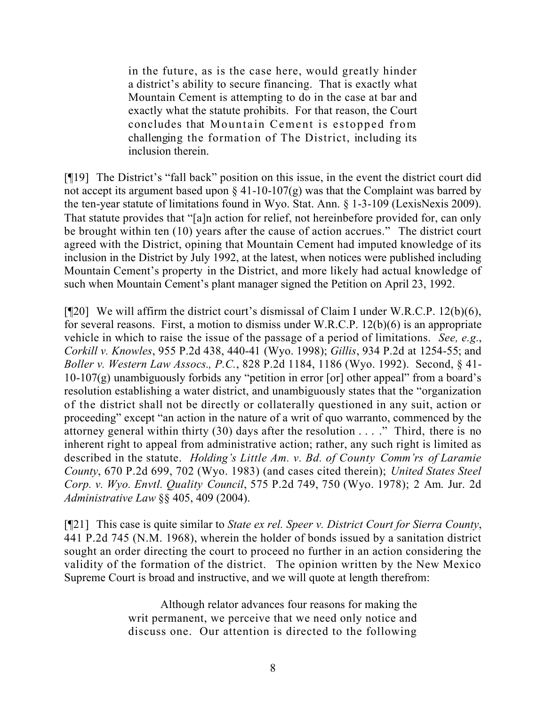in the future, as is the case here, would greatly hinder a district's ability to secure financing. That is exactly what Mountain Cement is attempting to do in the case at bar and exactly what the statute prohibits. For that reason, the Court concludes that Mountain Cement is estopped from challenging the formation of The District, including its inclusion therein.

[¶19] The District's "fall back" position on this issue, in the event the district court did not accept its argument based upon  $\S$  41-10-107(g) was that the Complaint was barred by the ten-year statute of limitations found in Wyo. Stat. Ann. § 1-3-109 (LexisNexis 2009). That statute provides that "[a]n action for relief, not hereinbefore provided for, can only be brought within ten (10) years after the cause of action accrues." The district court agreed with the District, opining that Mountain Cement had imputed knowledge of its inclusion in the District by July 1992, at the latest, when notices were published including Mountain Cement's property in the District, and more likely had actual knowledge of such when Mountain Cement's plant manager signed the Petition on April 23, 1992.

[¶20] We will affirm the district court's dismissal of Claim I under W.R.C.P. 12(b)(6), for several reasons. First, a motion to dismiss under W.R.C.P. 12(b)(6) is an appropriate vehicle in which to raise the issue of the passage of a period of limitations. *See, e.g.*, *Corkill v. Knowles*, 955 P.2d 438, 440-41 (Wyo. 1998); *Gillis*, 934 P.2d at 1254-55; and *Boller v. Western Law Assocs., P.C.*, 828 P.2d 1184, 1186 (Wyo. 1992). Second, § 41- 10-107(g) unambiguously forbids any "petition in error [or] other appeal" from a board's resolution establishing a water district, and unambiguously states that the "organization of the district shall not be directly or collaterally questioned in any suit, action or proceeding" except "an action in the nature of a writ of quo warranto, commenced by the attorney general within thirty (30) days after the resolution . . . ." Third, there is no inherent right to appeal from administrative action; rather, any such right is limited as described in the statute. *Holding's Little Am. v. Bd. of County Comm'rs of Laramie County*, 670 P.2d 699, 702 (Wyo. 1983) (and cases cited therein); *United States Steel Corp. v. Wyo. Envtl. Quality Council*, 575 P.2d 749, 750 (Wyo. 1978); 2 Am. Jur. 2d *Administrative Law* §§ 405, 409 (2004).

[¶21] This case is quite similar to *State ex rel. Speer v. District Court for Sierra County*, 441 P.2d 745 (N.M. 1968), wherein the holder of bonds issued by a sanitation district sought an order directing the court to proceed no further in an action considering the validity of the formation of the district. The opinion written by the New Mexico Supreme Court is broad and instructive, and we will quote at length therefrom:

> Although relator advances four reasons for making the writ permanent, we perceive that we need only notice and discuss one. Our attention is directed to the following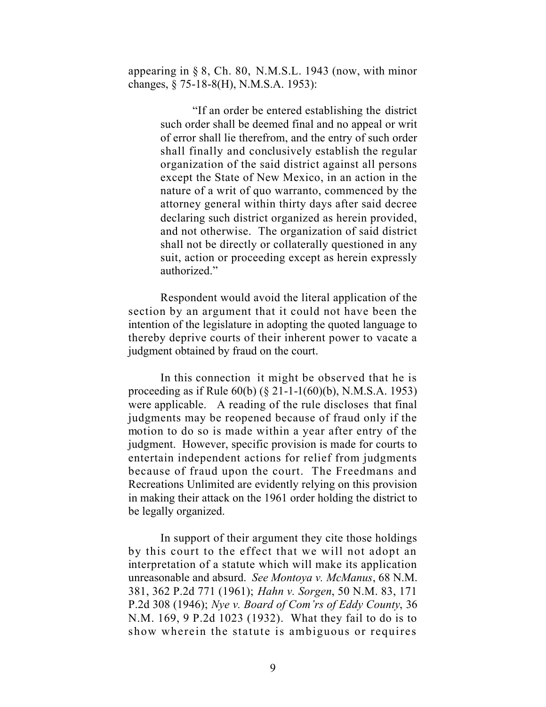appearing in § 8, Ch. 80, N.M.S.L. 1943 (now, with minor changes, § 75-18-8(H), N.M.S.A. 1953):

> "If an order be entered establishing the district such order shall be deemed final and no appeal or writ of error shall lie therefrom, and the entry of such order shall finally and conclusively establish the regular organization of the said district against all persons except the State of New Mexico, in an action in the nature of a writ of quo warranto, commenced by the attorney general within thirty days after said decree declaring such district organized as herein provided, and not otherwise. The organization of said district shall not be directly or collaterally questioned in any suit, action or proceeding except as herein expressly authorized."

Respondent would avoid the literal application of the section by an argument that it could not have been the intention of the legislature in adopting the quoted language to thereby deprive courts of their inherent power to vacate a judgment obtained by fraud on the court.

In this connection it might be observed that he is proceeding as if Rule 60(b) (§ 21-1-1(60)(b), N.M.S.A. 1953) were applicable. A reading of the rule discloses that final judgments may be reopened because of fraud only if the motion to do so is made within a year after entry of the judgment. However, specific provision is made for courts to entertain independent actions for relief from judgments because of fraud upon the court. The Freedmans and Recreations Unlimited are evidently relying on this provision in making their attack on the 1961 order holding the district to be legally organized.

In support of their argument they cite those holdings by this court to the effect that we will not adopt an interpretation of a statute which will make its application unreasonable and absurd. *See Montoya v. McManus*, 68 N.M. 381, 362 P.2d 771 (1961); *Hahn v. Sorgen*, 50 N.M. 83, 171 P.2d 308 (1946); *Nye v. Board of Com'rs of Eddy County*, 36 N.M. 169, 9 P.2d 1023 (1932). What they fail to do is to show wherein the statute is ambiguous or requires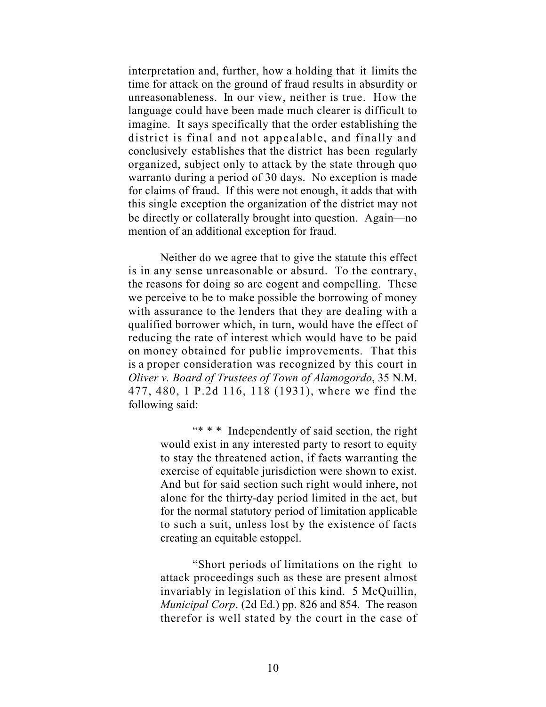interpretation and, further, how a holding that it limits the time for attack on the ground of fraud results in absurdity or unreasonableness. In our view, neither is true. How the language could have been made much clearer is difficult to imagine. It says specifically that the order establishing the district is final and not appealable, and finally and conclusively establishes that the district has been regularly organized, subject only to attack by the state through quo warranto during a period of 30 days. No exception is made for claims of fraud. If this were not enough, it adds that with this single exception the organization of the district may not be directly or collaterally brought into question. Again—no mention of an additional exception for fraud.

Neither do we agree that to give the statute this effect is in any sense unreasonable or absurd. To the contrary, the reasons for doing so are cogent and compelling. These we perceive to be to make possible the borrowing of money with assurance to the lenders that they are dealing with a qualified borrower which, in turn, would have the effect of reducing the rate of interest which would have to be paid on money obtained for public improvements. That this is a proper consideration was recognized by this court in *Oliver v. Board of Trustees of Town of Alamogordo*, 35 N.M. 477, 480, 1 P.2d 116, 118 (1931), where we find the following said:

> "\* \* \* Independently of said section, the right would exist in any interested party to resort to equity to stay the threatened action, if facts warranting the exercise of equitable jurisdiction were shown to exist. And but for said section such right would inhere, not alone for the thirty-day period limited in the act, but for the normal statutory period of limitation applicable to such a suit, unless lost by the existence of facts creating an equitable estoppel.

> "Short periods of limitations on the right to attack proceedings such as these are present almost invariably in legislation of this kind. 5 McQuillin, *Municipal Corp*. (2d Ed.) pp. 826 and 854. The reason therefor is well stated by the court in the case of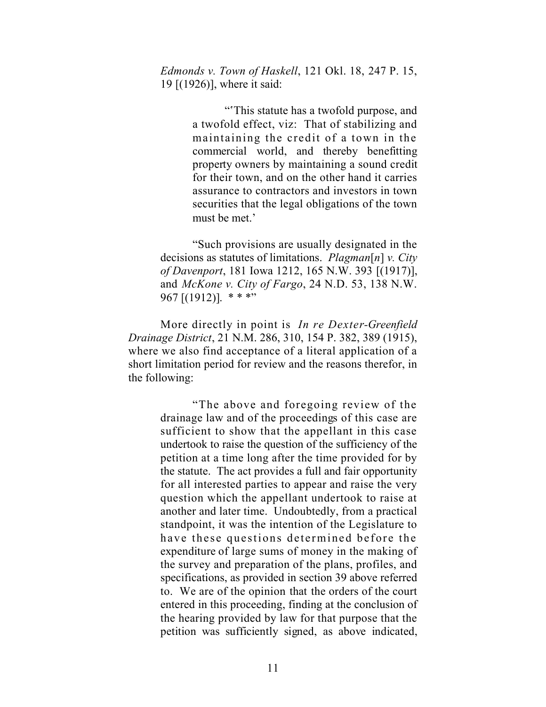*Edmonds v. Town of Haskell*, 121 Okl. 18, 247 P. 15, 19 [(1926)], where it said:

> "'This statute has a twofold purpose, and a twofold effect, viz: That of stabilizing and maintaining the credit of a town in the commercial world, and thereby benefitting property owners by maintaining a sound credit for their town, and on the other hand it carries assurance to contractors and investors in town securities that the legal obligations of the town must be met.'

"Such provisions are usually designated in the decisions as statutes of limitations. *Plagman*[*n*] *v. City of Davenport*, 181 Iowa 1212, 165 N.W. 393 [(1917)], and *McKone v. City of Fargo*, 24 N.D. 53, 138 N.W. 967  $[(1912)]$ . \* \* \*"

More directly in point is *In re Dexter-Greenfield Drainage District*, 21 N.M. 286, 310, 154 P. 382, 389 (1915), where we also find acceptance of a literal application of a short limitation period for review and the reasons therefor, in the following:

> "The above and foregoing review of the drainage law and of the proceedings of this case are sufficient to show that the appellant in this case undertook to raise the question of the sufficiency of the petition at a time long after the time provided for by the statute. The act provides a full and fair opportunity for all interested parties to appear and raise the very question which the appellant undertook to raise at another and later time. Undoubtedly, from a practical standpoint, it was the intention of the Legislature to have these questions determined before the expenditure of large sums of money in the making of the survey and preparation of the plans, profiles, and specifications, as provided in section 39 above referred to. We are of the opinion that the orders of the court entered in this proceeding, finding at the conclusion of the hearing provided by law for that purpose that the petition was sufficiently signed, as above indicated,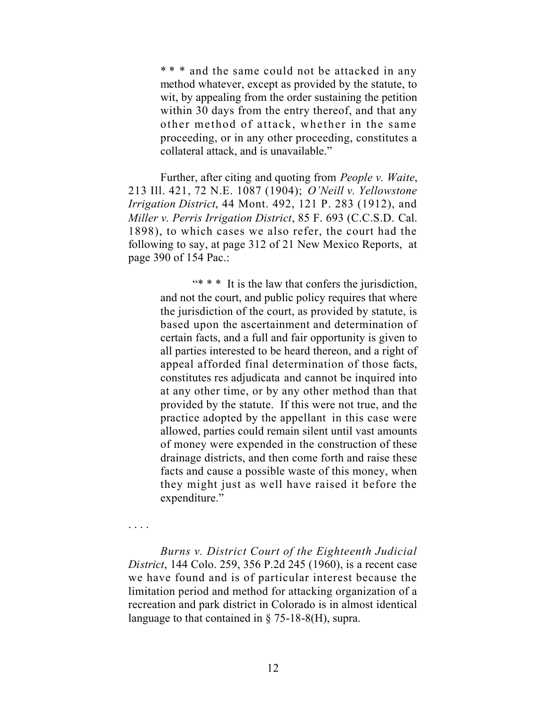\*\*\* and the same could not be attacked in any method whatever, except as provided by the statute, to wit, by appealing from the order sustaining the petition within 30 days from the entry thereof, and that any other method of attack, whether in the same proceeding, or in any other proceeding, constitutes a collateral attack, and is unavailable."

Further, after citing and quoting from *People v. Waite*, 213 Ill. 421, 72 N.E. 1087 (1904); *O'Neill v. Yellowstone Irrigation District*, 44 Mont. 492, 121 P. 283 (1912), and *Miller v. Perris Irrigation District*, 85 F. 693 (C.C.S.D. Cal. 1898), to which cases we also refer, the court had the following to say, at page 312 of 21 New Mexico Reports, at page 390 of 154 Pac.:

> "\* \* \* It is the law that confers the jurisdiction, and not the court, and public policy requires that where the jurisdiction of the court, as provided by statute, is based upon the ascertainment and determination of certain facts, and a full and fair opportunity is given to all parties interested to be heard thereon, and a right of appeal afforded final determination of those facts, constitutes res adjudicata and cannot be inquired into at any other time, or by any other method than that provided by the statute. If this were not true, and the practice adopted by the appellant in this case were allowed, parties could remain silent until vast amounts of money were expended in the construction of these drainage districts, and then come forth and raise these facts and cause a possible waste of this money, when they might just as well have raised it before the expenditure."

. . . .

*Burns v. District Court of the Eighteenth Judicial District*, 144 Colo. 259, 356 P.2d 245 (1960), is a recent case we have found and is of particular interest because the limitation period and method for attacking organization of a recreation and park district in Colorado is in almost identical language to that contained in § 75-18-8(H), supra.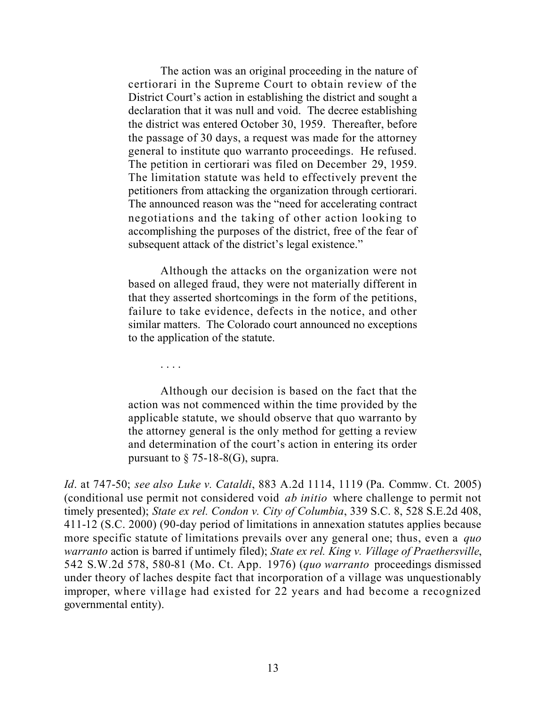The action was an original proceeding in the nature of certiorari in the Supreme Court to obtain review of the District Court's action in establishing the district and sought a declaration that it was null and void. The decree establishing the district was entered October 30, 1959. Thereafter, before the passage of 30 days, a request was made for the attorney general to institute quo warranto proceedings. He refused. The petition in certiorari was filed on December 29, 1959. The limitation statute was held to effectively prevent the petitioners from attacking the organization through certiorari. The announced reason was the "need for accelerating contract negotiations and the taking of other action looking to accomplishing the purposes of the district, free of the fear of subsequent attack of the district's legal existence."

Although the attacks on the organization were not based on alleged fraud, they were not materially different in that they asserted shortcomings in the form of the petitions, failure to take evidence, defects in the notice, and other similar matters. The Colorado court announced no exceptions to the application of the statute.

. . . .

Although our decision is based on the fact that the action was not commenced within the time provided by the applicable statute, we should observe that quo warranto by the attorney general is the only method for getting a review and determination of the court's action in entering its order pursuant to  $\S$  75-18-8(G), supra.

*Id*. at 747-50; *see also Luke v. Cataldi*, 883 A.2d 1114, 1119 (Pa. Commw. Ct. 2005) (conditional use permit not considered void *ab initio* where challenge to permit not timely presented); *State ex rel. Condon v. City of Columbia*, 339 S.C. 8, 528 S.E.2d 408, 411-12 (S.C. 2000) (90-day period of limitations in annexation statutes applies because more specific statute of limitations prevails over any general one; thus, even a *quo warranto* action is barred if untimely filed); *State ex rel. King v. Village of Praethersville*, 542 S.W.2d 578, 580-81 (Mo. Ct. App. 1976) (*quo warranto* proceedings dismissed under theory of laches despite fact that incorporation of a village was unquestionably improper, where village had existed for 22 years and had become a recognized governmental entity).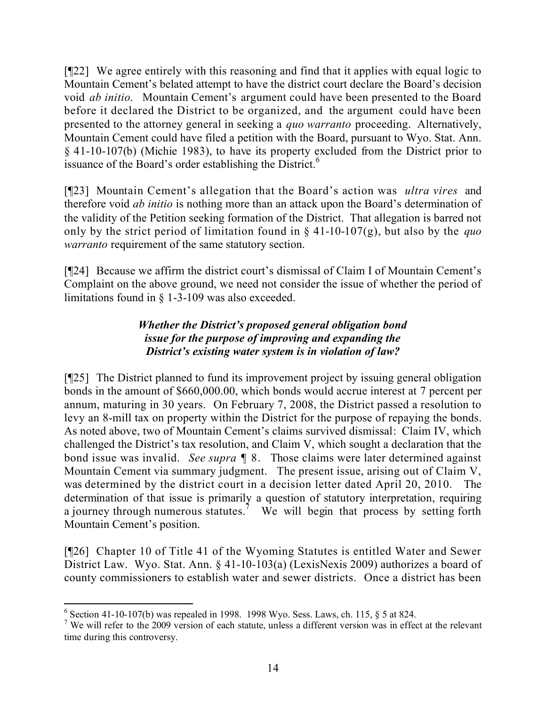[¶22] We agree entirely with this reasoning and find that it applies with equal logic to Mountain Cement's belated attempt to have the district court declare the Board's decision void *ab initio*. Mountain Cement's argument could have been presented to the Board before it declared the District to be organized, and the argument could have been presented to the attorney general in seeking a *quo warranto* proceeding. Alternatively, Mountain Cement could have filed a petition with the Board, pursuant to Wyo. Stat. Ann. § 41-10-107(b) (Michie 1983), to have its property excluded from the District prior to issuance of the Board's order establishing the District.<sup>6</sup>

[¶23] Mountain Cement's allegation that the Board's action was *ultra vires* and therefore void *ab initio* is nothing more than an attack upon the Board's determination of the validity of the Petition seeking formation of the District. That allegation is barred not only by the strict period of limitation found in § 41-10-107(g), but also by the *quo warranto* requirement of the same statutory section.

[¶24] Because we affirm the district court's dismissal of Claim I of Mountain Cement's Complaint on the above ground, we need not consider the issue of whether the period of limitations found in  $\S$  1-3-109 was also exceeded.

# *Whether the District's proposed general obligation bond issue for the purpose of improving and expanding the District's existing water system is in violation of law?*

[¶25] The District planned to fund its improvement project by issuing general obligation bonds in the amount of \$660,000.00, which bonds would accrue interest at 7 percent per annum, maturing in 30 years. On February 7, 2008, the District passed a resolution to levy an 8-mill tax on property within the District for the purpose of repaying the bonds. As noted above, two of Mountain Cement's claims survived dismissal: Claim IV, which challenged the District's tax resolution, and Claim V, which sought a declaration that the bond issue was invalid. *See supra* ¶ 8. Those claims were later determined against Mountain Cement via summary judgment. The present issue, arising out of Claim V, was determined by the district court in a decision letter dated April 20, 2010. The determination of that issue is primarily a question of statutory interpretation, requiring a journey through numerous statutes.<sup>7</sup> We will begin that process by setting forth Mountain Cement's position.

[¶26] Chapter 10 of Title 41 of the Wyoming Statutes is entitled Water and Sewer District Law. Wyo. Stat. Ann. § 41-10-103(a) (LexisNexis 2009) authorizes a board of county commissioners to establish water and sewer districts. Once a district has been

  $6$  Section 41-10-107(b) was repealed in 1998. 1998 Wyo. Sess. Laws, ch. 115,  $§$  5 at 824.

<sup>&</sup>lt;sup>7</sup> We will refer to the 2009 version of each statute, unless a different version was in effect at the relevant time during this controversy.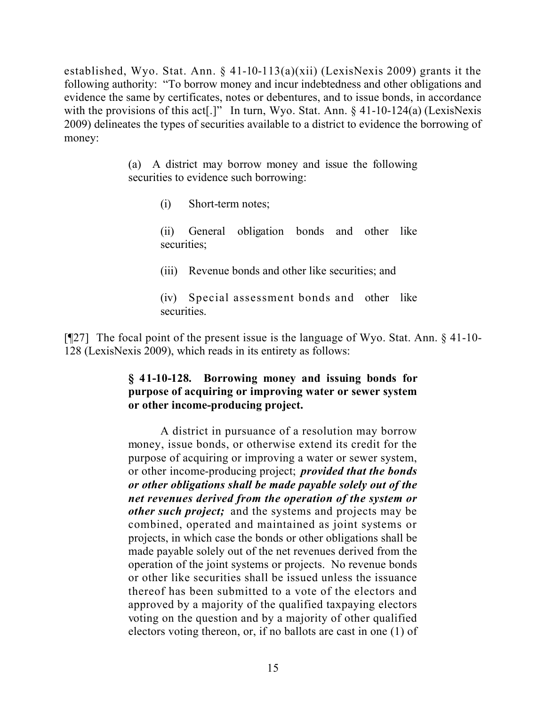established, Wyo. Stat. Ann. § 41-10-113(a)(xii) (LexisNexis 2009) grants it the following authority: "To borrow money and incur indebtedness and other obligations and evidence the same by certificates, notes or debentures, and to issue bonds, in accordance with the provisions of this act<sup>[1]</sup>. In turn, Wyo. Stat. Ann. § 41-10-124(a) (LexisNexis 2009) delineates the types of securities available to a district to evidence the borrowing of money:

> (a) A district may borrow money and issue the following securities to evidence such borrowing:

> > (i) Short-term notes;

(ii) General obligation bonds and other like securities;

(iii) Revenue bonds and other like securities; and

(iv) Special assessment bonds and other like securities.

[¶27] The focal point of the present issue is the language of Wyo. Stat. Ann. § 41-10- 128 (LexisNexis 2009), which reads in its entirety as follows:

# **§ 41-10-128. Borrowing money and issuing bonds for purpose of acquiring or improving water or sewer system or other income-producing project.**

A district in pursuance of a resolution may borrow money, issue bonds, or otherwise extend its credit for the purpose of acquiring or improving a water or sewer system, or other income-producing project; *provided that the bonds or other obligations shall be made payable solely out of the net revenues derived from the operation of the system or other such project;* and the systems and projects may be combined, operated and maintained as joint systems or projects, in which case the bonds or other obligations shall be made payable solely out of the net revenues derived from the operation of the joint systems or projects. No revenue bonds or other like securities shall be issued unless the issuance thereof has been submitted to a vote of the electors and approved by a majority of the qualified taxpaying electors voting on the question and by a majority of other qualified electors voting thereon, or, if no ballots are cast in one (1) of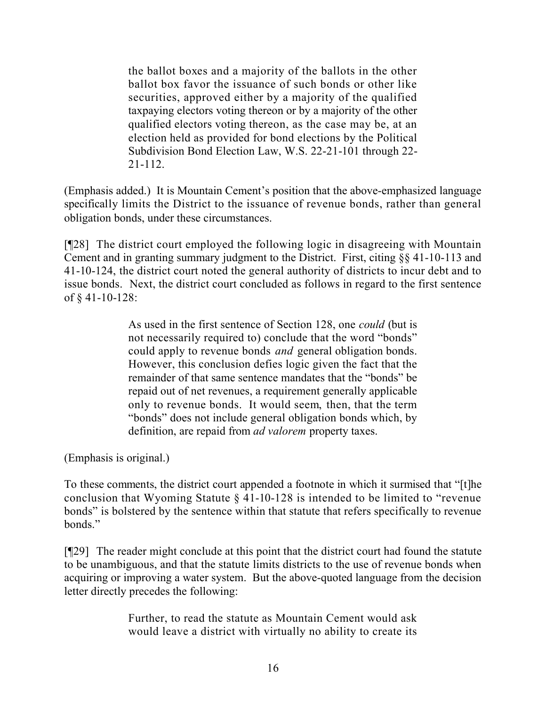the ballot boxes and a majority of the ballots in the other ballot box favor the issuance of such bonds or other like securities, approved either by a majority of the qualified taxpaying electors voting thereon or by a majority of the other qualified electors voting thereon, as the case may be, at an election held as provided for bond elections by the Political Subdivision Bond Election Law, W.S. 22-21-101 through 22- 21-112.

(Emphasis added.) It is Mountain Cement's position that the above-emphasized language specifically limits the District to the issuance of revenue bonds, rather than general obligation bonds, under these circumstances.

[¶28] The district court employed the following logic in disagreeing with Mountain Cement and in granting summary judgment to the District. First, citing §§ 41-10-113 and 41-10-124, the district court noted the general authority of districts to incur debt and to issue bonds. Next, the district court concluded as follows in regard to the first sentence of § 41-10-128:

> As used in the first sentence of Section 128, one *could* (but is not necessarily required to) conclude that the word "bonds" could apply to revenue bonds *and* general obligation bonds. However, this conclusion defies logic given the fact that the remainder of that same sentence mandates that the "bonds" be repaid out of net revenues, a requirement generally applicable only to revenue bonds. It would seem, then, that the term "bonds" does not include general obligation bonds which, by definition, are repaid from *ad valorem* property taxes.

(Emphasis is original.)

To these comments, the district court appended a footnote in which it surmised that "[t]he conclusion that Wyoming Statute § 41-10-128 is intended to be limited to "revenue bonds" is bolstered by the sentence within that statute that refers specifically to revenue bonds."

[¶29] The reader might conclude at this point that the district court had found the statute to be unambiguous, and that the statute limits districts to the use of revenue bonds when acquiring or improving a water system. But the above-quoted language from the decision letter directly precedes the following:

> Further, to read the statute as Mountain Cement would ask would leave a district with virtually no ability to create its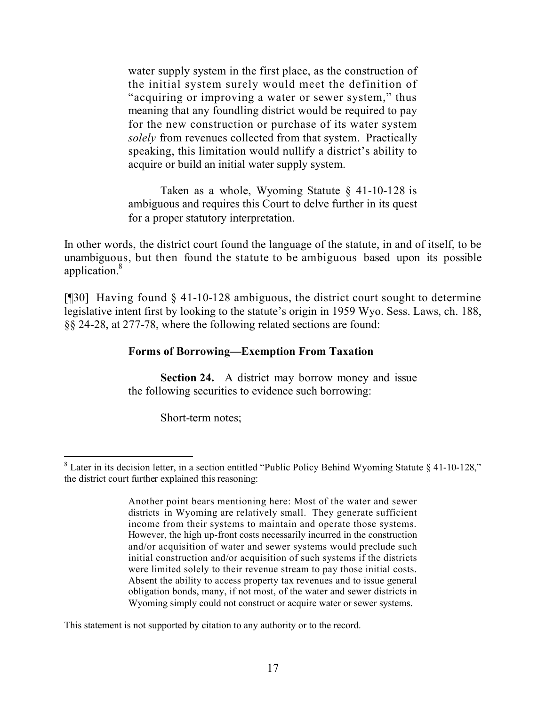water supply system in the first place, as the construction of the initial system surely would meet the definition of "acquiring or improving a water or sewer system," thus meaning that any foundling district would be required to pay for the new construction or purchase of its water system *solely* from revenues collected from that system. Practically speaking, this limitation would nullify a district's ability to acquire or build an initial water supply system.

Taken as a whole, Wyoming Statute § 41-10-128 is ambiguous and requires this Court to delve further in its quest for a proper statutory interpretation.

In other words, the district court found the language of the statute, in and of itself, to be unambiguous, but then found the statute to be ambiguous based upon its possible application.<sup>8</sup>

[¶30] Having found § 41-10-128 ambiguous, the district court sought to determine legislative intent first by looking to the statute's origin in 1959 Wyo. Sess. Laws, ch. 188, §§ 24-28, at 277-78, where the following related sections are found:

# **Forms of Borrowing—Exemption From Taxation**

**Section 24.** A district may borrow money and issue the following securities to evidence such borrowing:

Short-term notes;

This statement is not supported by citation to any authority or to the record.

  $8$  Later in its decision letter, in a section entitled "Public Policy Behind Wyoming Statute § 41-10-128," the district court further explained this reasoning:

Another point bears mentioning here: Most of the water and sewer districts in Wyoming are relatively small. They generate sufficient income from their systems to maintain and operate those systems. However, the high up-front costs necessarily incurred in the construction and/or acquisition of water and sewer systems would preclude such initial construction and/or acquisition of such systems if the districts were limited solely to their revenue stream to pay those initial costs. Absent the ability to access property tax revenues and to issue general obligation bonds, many, if not most, of the water and sewer districts in Wyoming simply could not construct or acquire water or sewer systems.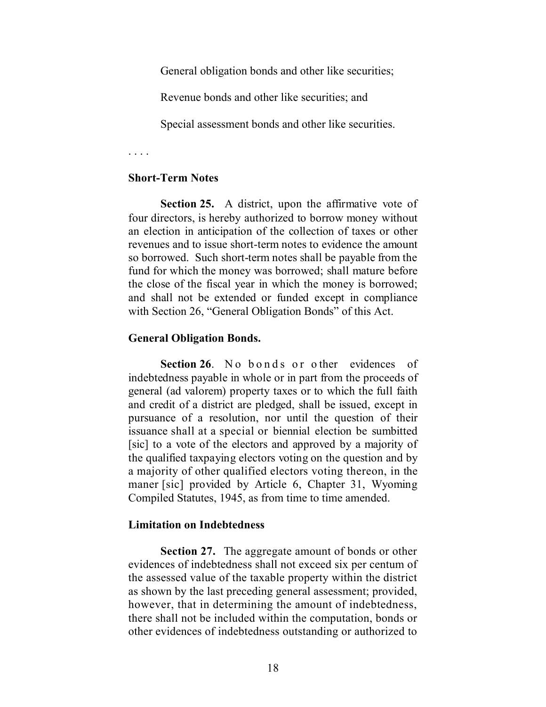General obligation bonds and other like securities;

Revenue bonds and other like securities; and

Special assessment bonds and other like securities.

. . . .

#### **Short-Term Notes**

**Section 25.** A district, upon the affirmative vote of four directors, is hereby authorized to borrow money without an election in anticipation of the collection of taxes or other revenues and to issue short-term notes to evidence the amount so borrowed. Such short-term notes shall be payable from the fund for which the money was borrowed; shall mature before the close of the fiscal year in which the money is borrowed; and shall not be extended or funded except in compliance with Section 26, "General Obligation Bonds" of this Act.

### **General Obligation Bonds.**

Section 26. No bonds or other evidences of indebtedness payable in whole or in part from the proceeds of general (ad valorem) property taxes or to which the full faith and credit of a district are pledged, shall be issued, except in pursuance of a resolution, nor until the question of their issuance shall at a special or biennial election be sumbitted [sic] to a vote of the electors and approved by a majority of the qualified taxpaying electors voting on the question and by a majority of other qualified electors voting thereon, in the maner [sic] provided by Article 6, Chapter 31, Wyoming Compiled Statutes, 1945, as from time to time amended.

### **Limitation on Indebtedness**

**Section 27.** The aggregate amount of bonds or other evidences of indebtedness shall not exceed six per centum of the assessed value of the taxable property within the district as shown by the last preceding general assessment; provided, however, that in determining the amount of indebtedness, there shall not be included within the computation, bonds or other evidences of indebtedness outstanding or authorized to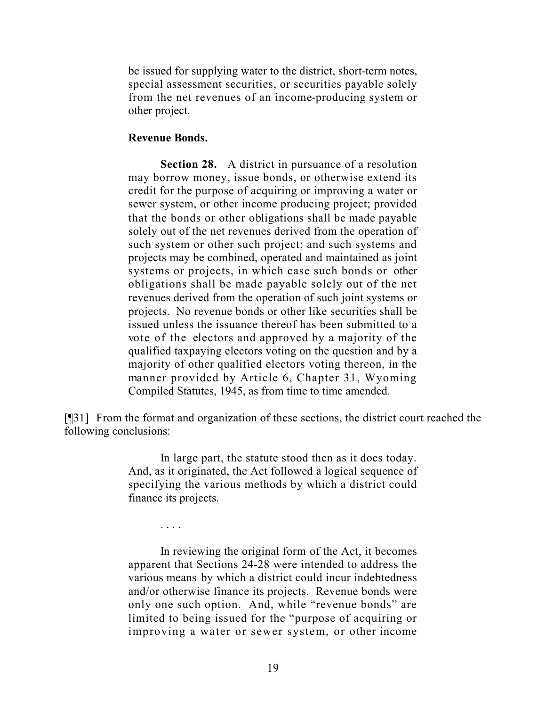be issued for supplying water to the district, short-term notes, special assessment securities, or securities payable solely from the net revenues of an income-producing system or other project.

#### **Revenue Bonds.**

. . . .

**Section 28.** A district in pursuance of a resolution may borrow money, issue bonds, or otherwise extend its credit for the purpose of acquiring or improving a water or sewer system, or other income producing project; provided that the bonds or other obligations shall be made payable solely out of the net revenues derived from the operation of such system or other such project; and such systems and projects may be combined, operated and maintained as joint systems or projects, in which case such bonds or other obligations shall be made payable solely out of the net revenues derived from the operation of such joint systems or projects. No revenue bonds or other like securities shall be issued unless the issuance thereof has been submitted to a vote of the electors and approved by a majority of the qualified taxpaying electors voting on the question and by a majority of other qualified electors voting thereon, in the manner provided by Article 6, Chapter 31, Wyoming Compiled Statutes, 1945, as from time to time amended.

[¶31] From the format and organization of these sections, the district court reached the following conclusions:

> In large part, the statute stood then as it does today. And, as it originated, the Act followed a logical sequence of specifying the various methods by which a district could finance its projects.

> In reviewing the original form of the Act, it becomes apparent that Sections 24-28 were intended to address the various means by which a district could incur indebtedness and/or otherwise finance its projects. Revenue bonds were only one such option. And, while "revenue bonds" are limited to being issued for the "purpose of acquiring or improving a water or sewer system, or other income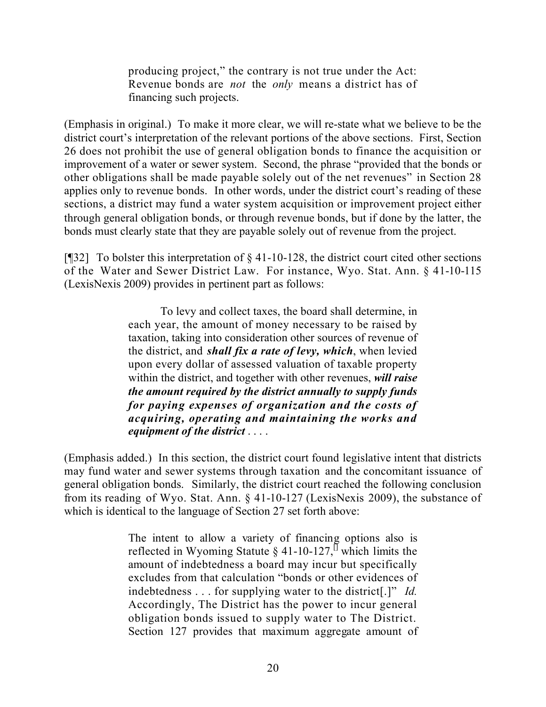producing project," the contrary is not true under the Act: Revenue bonds are *not* the *only* means a district has of financing such projects.

(Emphasis in original.) To make it more clear, we will re-state what we believe to be the district court's interpretation of the relevant portions of the above sections. First, Section 26 does not prohibit the use of general obligation bonds to finance the acquisition or improvement of a water or sewer system. Second, the phrase "provided that the bonds or other obligations shall be made payable solely out of the net revenues" in Section 28 applies only to revenue bonds. In other words, under the district court's reading of these sections, a district may fund a water system acquisition or improvement project either through general obligation bonds, or through revenue bonds, but if done by the latter, the bonds must clearly state that they are payable solely out of revenue from the project.

[ $[$ ][32] To bolster this interpretation of  $\S$  41-10-128, the district court cited other sections of the Water and Sewer District Law. For instance, Wyo. Stat. Ann. § 41-10-115 (LexisNexis 2009) provides in pertinent part as follows:

> To levy and collect taxes, the board shall determine, in each year, the amount of money necessary to be raised by taxation, taking into consideration other sources of revenue of the district, and *shall fix a rate of levy, which*, when levied upon every dollar of assessed valuation of taxable property within the district, and together with other revenues, *will raise the amount required by the district annually to supply funds for paying expenses of organization and the costs of acquiring, operating and maintaining the works and equipment of the district* . . . .

(Emphasis added.) In this section, the district court found legislative intent that districts may fund water and sewer systems through taxation and the concomitant issuance of general obligation bonds. Similarly, the district court reached the following conclusion from its reading of Wyo. Stat. Ann. § 41-10-127 (LexisNexis 2009), the substance of which is identical to the language of Section 27 set forth above:

> The intent to allow a variety of financing options also is reflected in Wyoming Statute  $\S$  41-10-127,<sup> $\Box$ </sup> which limits the amount of indebtedness a board may incur but specifically excludes from that calculation "bonds or other evidences of indebtedness . . . for supplying water to the district[.]" *Id.*  Accordingly, The District has the power to incur general obligation bonds issued to supply water to The District. Section 127 provides that maximum aggregate amount of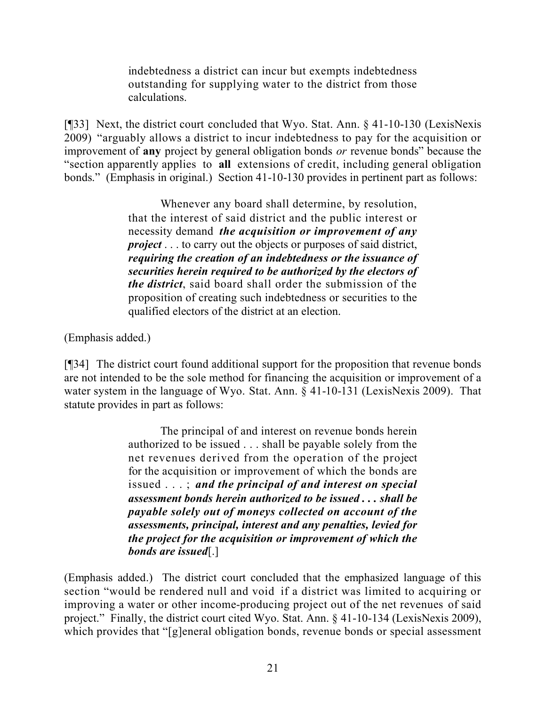indebtedness a district can incur but exempts indebtedness outstanding for supplying water to the district from those calculations.

[¶33] Next, the district court concluded that Wyo. Stat. Ann. § 41-10-130 (LexisNexis 2009) "arguably allows a district to incur indebtedness to pay for the acquisition or improvement of **any** project by general obligation bonds *or* revenue bonds" because the "section apparently applies to **all** extensions of credit, including general obligation bonds." (Emphasis in original.) Section 41-10-130 provides in pertinent part as follows:

> Whenever any board shall determine, by resolution, that the interest of said district and the public interest or necessity demand *the acquisition or improvement of any project* . . . to carry out the objects or purposes of said district, *requiring the creation of an indebtedness or the issuance of securities herein required to be authorized by the electors of the district*, said board shall order the submission of the proposition of creating such indebtedness or securities to the qualified electors of the district at an election.

(Emphasis added.)

[¶34] The district court found additional support for the proposition that revenue bonds are not intended to be the sole method for financing the acquisition or improvement of a water system in the language of Wyo. Stat. Ann. § 41-10-131 (LexisNexis 2009). That statute provides in part as follows:

> The principal of and interest on revenue bonds herein authorized to be issued . . . shall be payable solely from the net revenues derived from the operation of the project for the acquisition or improvement of which the bonds are issued . . . ; *and the principal of and interest on special assessment bonds herein authorized to be issued . . . shall be payable solely out of moneys collected on account of the assessments, principal, interest and any penalties, levied for the project for the acquisition or improvement of which the bonds are issued*[.]

(Emphasis added.) The district court concluded that the emphasized language of this section "would be rendered null and void if a district was limited to acquiring or improving a water or other income-producing project out of the net revenues of said project." Finally, the district court cited Wyo. Stat. Ann. § 41-10-134 (LexisNexis 2009), which provides that "[g]eneral obligation bonds, revenue bonds or special assessment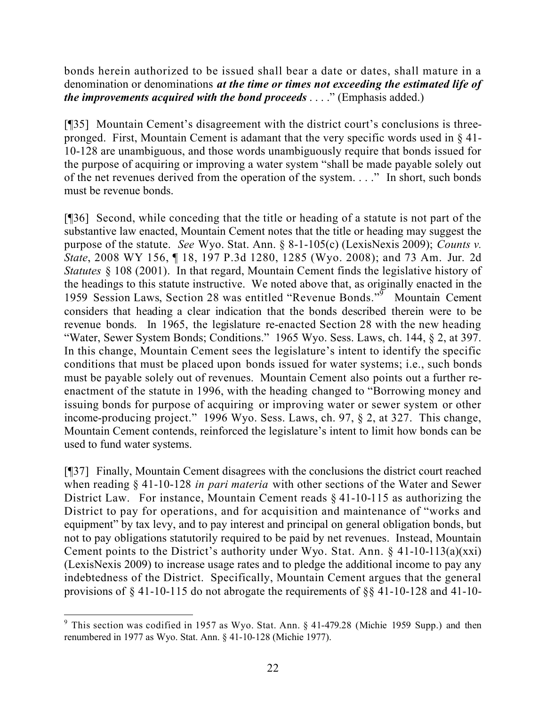bonds herein authorized to be issued shall bear a date or dates, shall mature in a denomination or denominations *at the time or times not exceeding the estimated life of the improvements acquired with the bond proceeds* . . . ." (Emphasis added.)

[¶35] Mountain Cement's disagreement with the district court's conclusions is threepronged. First, Mountain Cement is adamant that the very specific words used in § 41- 10-128 are unambiguous, and those words unambiguously require that bonds issued for the purpose of acquiring or improving a water system "shall be made payable solely out of the net revenues derived from the operation of the system. . . ." In short, such bonds must be revenue bonds.

[¶36] Second, while conceding that the title or heading of a statute is not part of the substantive law enacted, Mountain Cement notes that the title or heading may suggest the purpose of the statute. *See* Wyo. Stat. Ann. § 8-1-105(c) (LexisNexis 2009); *Counts v. State*, 2008 WY 156, ¶ 18, 197 P.3d 1280, 1285 (Wyo. 2008); and 73 Am. Jur. 2d *Statutes* § 108 (2001). In that regard, Mountain Cement finds the legislative history of the headings to this statute instructive. We noted above that, as originally enacted in the 1959 Session Laws, Section 28 was entitled "Revenue Bonds."<sup>5</sup> Mountain Cement considers that heading a clear indication that the bonds described therein were to be revenue bonds. In 1965, the legislature re-enacted Section 28 with the new heading "Water, Sewer System Bonds; Conditions." 1965 Wyo. Sess. Laws, ch. 144, § 2, at 397. In this change, Mountain Cement sees the legislature's intent to identify the specific conditions that must be placed upon bonds issued for water systems; i.e., such bonds must be payable solely out of revenues. Mountain Cement also points out a further reenactment of the statute in 1996, with the heading changed to "Borrowing money and issuing bonds for purpose of acquiring or improving water or sewer system or other income-producing project." 1996 Wyo. Sess. Laws, ch. 97, § 2, at 327. This change, Mountain Cement contends, reinforced the legislature's intent to limit how bonds can be used to fund water systems.

[¶37] Finally, Mountain Cement disagrees with the conclusions the district court reached when reading § 41-10-128 *in pari materia* with other sections of the Water and Sewer District Law. For instance, Mountain Cement reads § 41-10-115 as authorizing the District to pay for operations, and for acquisition and maintenance of "works and equipment" by tax levy, and to pay interest and principal on general obligation bonds, but not to pay obligations statutorily required to be paid by net revenues. Instead, Mountain Cement points to the District's authority under Wyo. Stat. Ann. § 41-10-113(a)(xxi) (LexisNexis 2009) to increase usage rates and to pledge the additional income to pay any indebtedness of the District. Specifically, Mountain Cement argues that the general provisions of § 41-10-115 do not abrogate the requirements of §§ 41-10-128 and 41-10-

 <sup>9</sup> This section was codified in 1957 as Wyo. Stat. Ann.  $\S$  41-479.28 (Michie 1959 Supp.) and then renumbered in 1977 as Wyo. Stat. Ann. § 41-10-128 (Michie 1977).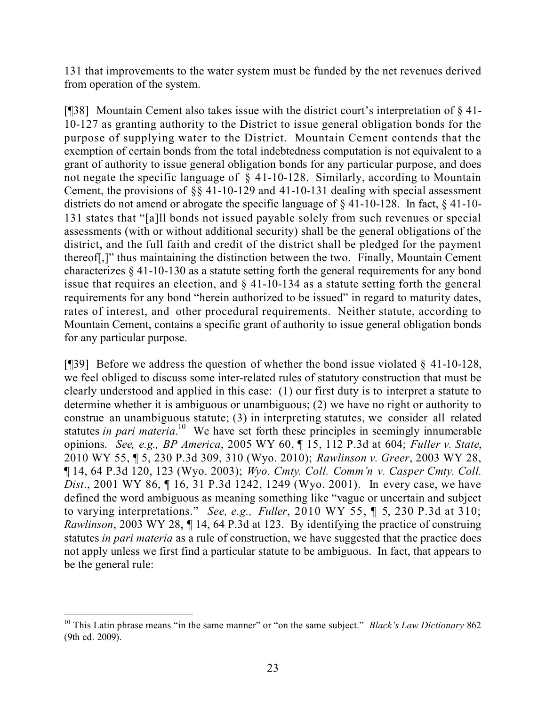131 that improvements to the water system must be funded by the net revenues derived from operation of the system.

[¶38] Mountain Cement also takes issue with the district court's interpretation of § 41- 10-127 as granting authority to the District to issue general obligation bonds for the purpose of supplying water to the District. Mountain Cement contends that the exemption of certain bonds from the total indebtedness computation is not equivalent to a grant of authority to issue general obligation bonds for any particular purpose, and does not negate the specific language of § 41-10-128. Similarly, according to Mountain Cement, the provisions of §§ 41-10-129 and 41-10-131 dealing with special assessment districts do not amend or abrogate the specific language of § 41-10-128. In fact, § 41-10- 131 states that "[a]ll bonds not issued payable solely from such revenues or special assessments (with or without additional security) shall be the general obligations of the district, and the full faith and credit of the district shall be pledged for the payment thereof[,]" thus maintaining the distinction between the two. Finally, Mountain Cement characterizes § 41-10-130 as a statute setting forth the general requirements for any bond issue that requires an election, and § 41-10-134 as a statute setting forth the general requirements for any bond "herein authorized to be issued" in regard to maturity dates, rates of interest, and other procedural requirements. Neither statute, according to Mountain Cement, contains a specific grant of authority to issue general obligation bonds for any particular purpose.

[ $[$ ][39] Before we address the question of whether the bond issue violated  $§$  41-10-128, we feel obliged to discuss some inter-related rules of statutory construction that must be clearly understood and applied in this case: (1) our first duty is to interpret a statute to determine whether it is ambiguous or unambiguous; (2) we have no right or authority to construe an unambiguous statute; (3) in interpreting statutes, we consider all related statutes *in pari materia*. <sup>10</sup> We have set forth these principles in seemingly innumerable opinions. *See, e.g., BP America*, 2005 WY 60, ¶ 15, 112 P.3d at 604; *Fuller v. State*, 2010 WY 55, ¶ 5, 230 P.3d 309, 310 (Wyo. 2010); *Rawlinson v. Greer*, 2003 WY 28, ¶ 14, 64 P.3d 120, 123 (Wyo. 2003); *Wyo. Cmty. Coll. Comm'n v. Casper Cmty. Coll. Dist*., 2001 WY 86, ¶ 16, 31 P.3d 1242, 1249 (Wyo. 2001). In every case, we have defined the word ambiguous as meaning something like "vague or uncertain and subject to varying interpretations." *See, e.g., Fuller*, 2010 WY 55, ¶ 5, 230 P.3d at 310; *Rawlinson*, 2003 WY 28, ¶ 14, 64 P.3d at 123. By identifying the practice of construing statutes *in pari materia* as a rule of construction, we have suggested that the practice does not apply unless we first find a particular statute to be ambiguous. In fact, that appears to be the general rule:

 <sup>10</sup> This Latin phrase means "in the same manner" or "on the same subject." *Black's Law Dictionary* 862 (9th ed. 2009).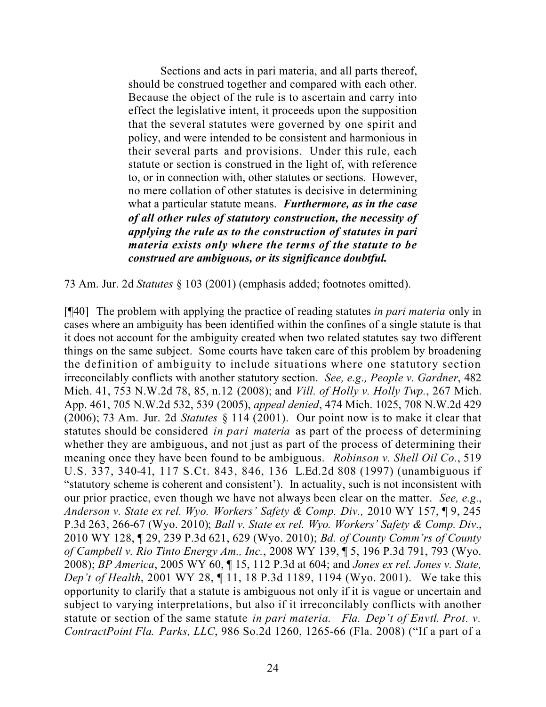Sections and acts in pari materia, and all parts thereof, should be construed together and compared with each other. Because the object of the rule is to ascertain and carry into effect the legislative intent, it proceeds upon the supposition that the several statutes were governed by one spirit and policy, and were intended to be consistent and harmonious in their several parts and provisions. Under this rule, each statute or section is construed in the light of, with reference to, or in connection with, other statutes or sections. However, no mere collation of other statutes is decisive in determining what a particular statute means. *Furthermore, as in the case of all other rules of statutory construction, the necessity of applying the rule as to the construction of statutes in pari materia exists only where the terms of the statute to be construed are ambiguous, or its significance doubtful.*

73 Am. Jur. 2d *Statutes* § 103 (2001) (emphasis added; footnotes omitted).

[¶40] The problem with applying the practice of reading statutes *in pari materia* only in cases where an ambiguity has been identified within the confines of a single statute is that it does not account for the ambiguity created when two related statutes say two different things on the same subject. Some courts have taken care of this problem by broadening the definition of ambiguity to include situations where one statutory section irreconcilably conflicts with another statutory section. *See, e.g., People v. Gardner*, 482 Mich. 41, 753 N.W.2d 78, 85, n.12 (2008); and *Vill. of Holly v. Holly Twp.*, 267 Mich. App. 461, 705 N.W.2d 532, 539 (2005), *appeal denied*, 474 Mich. 1025, 708 N.W.2d 429 (2006); 73 Am. Jur. 2d *Statutes* § 114 (2001). Our point now is to make it clear that statutes should be considered *in pari materia* as part of the process of determining whether they are ambiguous, and not just as part of the process of determining their meaning once they have been found to be ambiguous. *Robinson v. Shell Oil Co.*, 519 U.S. 337, 340-41, 117 S.Ct. 843, 846, 136 L.Ed.2d 808 (1997) (unambiguous if "statutory scheme is coherent and consistent'). In actuality, such is not inconsistent with our prior practice, even though we have not always been clear on the matter. *See, e.g.*, *Anderson v. State ex rel. Wyo. Workers' Safety & Comp. Div.,* 2010 WY 157, ¶ 9, 245 P.3d 263, 266-67 (Wyo. 2010); *Ball v. State ex rel. Wyo. Workers' Safety & Comp. Div.*, 2010 WY 128, ¶ 29, 239 P.3d 621, 629 (Wyo. 2010); *Bd. of County Comm'rs of County of Campbell v. Rio Tinto Energy Am., Inc.*, 2008 WY 139, ¶ 5, 196 P.3d 791, 793 (Wyo. 2008); *BP America*, 2005 WY 60, ¶ 15, 112 P.3d at 604; and *Jones ex rel. Jones v. State, Dep't of Health*, 2001 WY 28, ¶ 11, 18 P.3d 1189, 1194 (Wyo. 2001). We take this opportunity to clarify that a statute is ambiguous not only if it is vague or uncertain and subject to varying interpretations, but also if it irreconcilably conflicts with another statute or section of the same statute *in pari materia*. *Fla. Dep't of Envtl. Prot. v. ContractPoint Fla. Parks, LLC*, 986 So.2d 1260, 1265-66 (Fla. 2008) ("If a part of a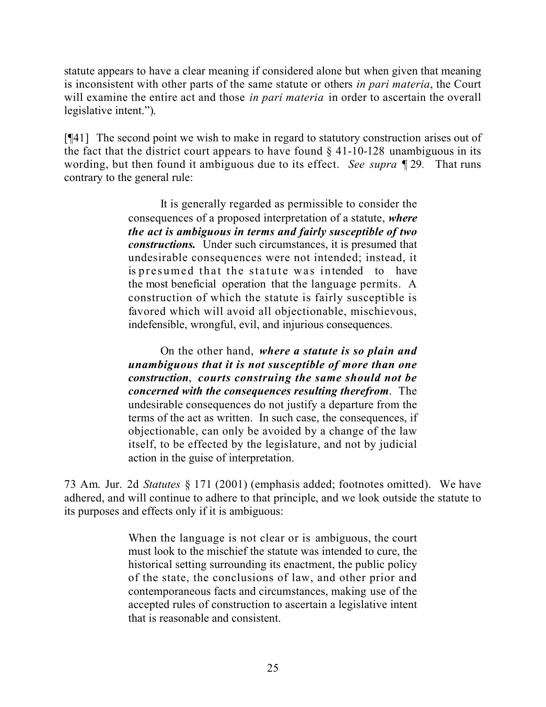statute appears to have a clear meaning if considered alone but when given that meaning is inconsistent with other parts of the same statute or others *in pari materia*, the Court will examine the entire act and those *in pari materia* in order to ascertain the overall legislative intent.").

[¶41] The second point we wish to make in regard to statutory construction arises out of the fact that the district court appears to have found  $\S$  41-10-128 unambiguous in its wording, but then found it ambiguous due to its effect. *See supra* ¶ 29*.* That runs contrary to the general rule:

> It is generally regarded as permissible to consider the consequences of a proposed interpretation of a statute, *where the act is ambiguous in terms and fairly susceptible of two constructions.* Under such circumstances, it is presumed that undesirable consequences were not intended; instead, it is presumed that the statute was intended to have the most beneficial operation that the language permits. A construction of which the statute is fairly susceptible is favored which will avoid all objectionable, mischievous, indefensible, wrongful, evil, and injurious consequences.

> On the other hand, *where a statute is so plain and unambiguous that it is not susceptible of more than one construction*, *courts construing the same should not be concerned with the consequences resulting therefrom*. The undesirable consequences do not justify a departure from the terms of the act as written. In such case, the consequences, if objectionable, can only be avoided by a change of the law itself, to be effected by the legislature, and not by judicial action in the guise of interpretation.

73 Am. Jur. 2d *Statutes* § 171 (2001) (emphasis added; footnotes omitted). We have adhered, and will continue to adhere to that principle, and we look outside the statute to its purposes and effects only if it is ambiguous:

> When the language is not clear or is ambiguous, the court must look to the mischief the statute was intended to cure, the historical setting surrounding its enactment, the public policy of the state, the conclusions of law, and other prior and contemporaneous facts and circumstances, making use of the accepted rules of construction to ascertain a legislative intent that is reasonable and consistent.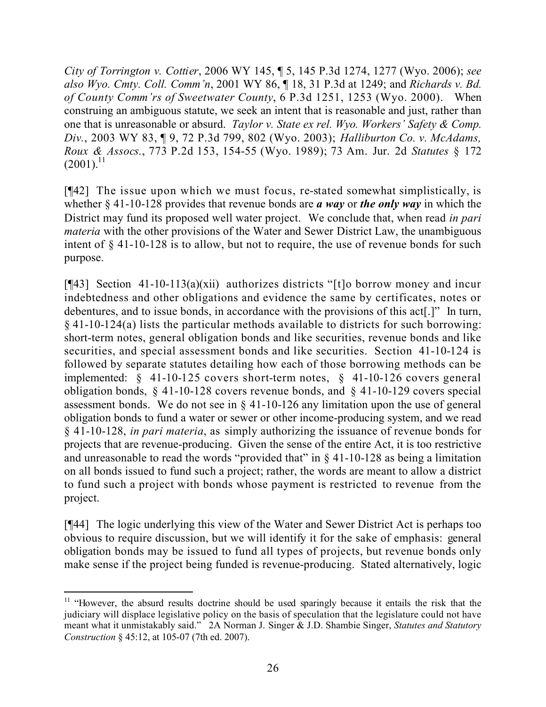*City of Torrington v. Cottier*, 2006 WY 145, ¶ 5, 145 P.3d 1274, 1277 (Wyo. 2006); *see also Wyo. Cmty. Coll. Comm'n*, 2001 WY 86, ¶ 18, 31 P.3d at 1249; and *Richards v. Bd. of County Comm'rs of Sweetwater County*, 6 P.3d 1251, 1253 (Wyo. 2000). When construing an ambiguous statute, we seek an intent that is reasonable and just, rather than one that is unreasonable or absurd. *Taylor v. State ex rel. Wyo. Workers' Safety & Comp. Div.*, 2003 WY 83, ¶ 9, 72 P.3d 799, 802 (Wyo. 2003); *Halliburton Co. v. McAdams, Roux & Assocs.*, 773 P.2d 153, 154-55 (Wyo. 1989); 73 Am. Jur. 2d *Statutes* § 172  $(2001)^{11}$ 

[¶42] The issue upon which we must focus, re-stated somewhat simplistically, is whether § 41-10-128 provides that revenue bonds are *a way* or *the only way* in which the District may fund its proposed well water project. We conclude that, when read *in pari materia* with the other provisions of the Water and Sewer District Law, the unambiguous intent of § 41-10-128 is to allow, but not to require, the use of revenue bonds for such purpose.

[¶43] Section 41-10-113(a)(xii) authorizes districts "[t]o borrow money and incur indebtedness and other obligations and evidence the same by certificates, notes or debentures, and to issue bonds, in accordance with the provisions of this act[.]" In turn, § 41-10-124(a) lists the particular methods available to districts for such borrowing: short-term notes, general obligation bonds and like securities, revenue bonds and like securities, and special assessment bonds and like securities. Section 41-10-124 is followed by separate statutes detailing how each of those borrowing methods can be implemented: § 41-10-125 covers short-term notes, § 41-10-126 covers general obligation bonds, § 41-10-128 covers revenue bonds, and § 41-10-129 covers special assessment bonds. We do not see in § 41-10-126 any limitation upon the use of general obligation bonds to fund a water or sewer or other income-producing system, and we read § 41-10-128, *in pari materia*, as simply authorizing the issuance of revenue bonds for projects that are revenue-producing. Given the sense of the entire Act, it is too restrictive and unreasonable to read the words "provided that" in § 41-10-128 as being a limitation on all bonds issued to fund such a project; rather, the words are meant to allow a district to fund such a project with bonds whose payment is restricted to revenue from the project.

[¶44] The logic underlying this view of the Water and Sewer District Act is perhaps too obvious to require discussion, but we will identify it for the sake of emphasis: general obligation bonds may be issued to fund all types of projects, but revenue bonds only make sense if the project being funded is revenue-producing. Stated alternatively, logic

 <sup>11</sup> "However, the absurd results doctrine should be used sparingly because it entails the risk that the judiciary will displace legislative policy on the basis of speculation that the legislature could not have meant what it unmistakably said." 2A Norman J. Singer & J.D. Shambie Singer, *Statutes and Statutory Construction* § 45:12, at 105-07 (7th ed. 2007).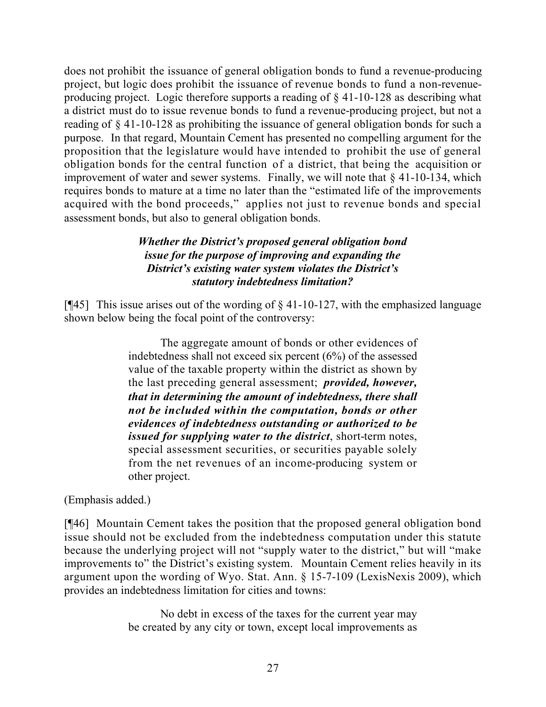does not prohibit the issuance of general obligation bonds to fund a revenue-producing project, but logic does prohibit the issuance of revenue bonds to fund a non-revenueproducing project. Logic therefore supports a reading of § 41-10-128 as describing what a district must do to issue revenue bonds to fund a revenue-producing project, but not a reading of § 41-10-128 as prohibiting the issuance of general obligation bonds for such a purpose. In that regard, Mountain Cement has presented no compelling argument for the proposition that the legislature would have intended to prohibit the use of general obligation bonds for the central function of a district, that being the acquisition or improvement of water and sewer systems. Finally, we will note that § 41-10-134, which requires bonds to mature at a time no later than the "estimated life of the improvements acquired with the bond proceeds," applies not just to revenue bonds and special assessment bonds, but also to general obligation bonds.

# *Whether the District's proposed general obligation bond issue for the purpose of improving and expanding the District's existing water system violates the District's statutory indebtedness limitation?*

[ $[$ 45] This issue arises out of the wording of  $\S$  41-10-127, with the emphasized language shown below being the focal point of the controversy:

> The aggregate amount of bonds or other evidences of indebtedness shall not exceed six percent (6%) of the assessed value of the taxable property within the district as shown by the last preceding general assessment; *provided, however, that in determining the amount of indebtedness, there shall not be included within the computation, bonds or other evidences of indebtedness outstanding or authorized to be issued for supplying water to the district*, short-term notes, special assessment securities, or securities payable solely from the net revenues of an income-producing system or other project.

# (Emphasis added.)

[¶46] Mountain Cement takes the position that the proposed general obligation bond issue should not be excluded from the indebtedness computation under this statute because the underlying project will not "supply water to the district," but will "make improvements to" the District's existing system. Mountain Cement relies heavily in its argument upon the wording of Wyo. Stat. Ann. § 15-7-109 (LexisNexis 2009), which provides an indebtedness limitation for cities and towns:

> No debt in excess of the taxes for the current year may be created by any city or town, except local improvements as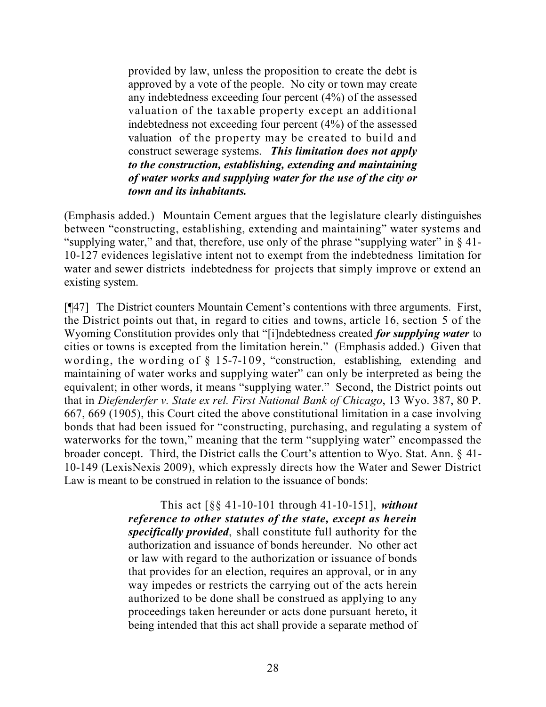provided by law, unless the proposition to create the debt is approved by a vote of the people. No city or town may create any indebtedness exceeding four percent (4%) of the assessed valuation of the taxable property except an additional indebtedness not exceeding four percent (4%) of the assessed valuation of the property may be created to build and construct sewerage systems. *This limitation does not apply to the construction, establishing, extending and maintaining of water works and supplying water for the use of the city or town and its inhabitants.*

(Emphasis added.) Mountain Cement argues that the legislature clearly distinguishes between "constructing, establishing, extending and maintaining" water systems and "supplying water," and that, therefore, use only of the phrase "supplying water" in § 41- 10-127 evidences legislative intent not to exempt from the indebtedness limitation for water and sewer districts indebtedness for projects that simply improve or extend an existing system.

[¶47] The District counters Mountain Cement's contentions with three arguments. First, the District points out that, in regard to cities and towns, article 16, section 5 of the Wyoming Constitution provides only that "[i]ndebtedness created *for supplying water* to cities or towns is excepted from the limitation herein." (Emphasis added.) Given that wording, the wording of § 15-7-109, "construction, establishing, extending and maintaining of water works and supplying water" can only be interpreted as being the equivalent; in other words, it means "supplying water." Second, the District points out that in *Diefenderfer v. State ex rel. First National Bank of Chicago*, 13 Wyo. 387, 80 P. 667, 669 (1905), this Court cited the above constitutional limitation in a case involving bonds that had been issued for "constructing, purchasing, and regulating a system of waterworks for the town," meaning that the term "supplying water" encompassed the broader concept. Third, the District calls the Court's attention to Wyo. Stat. Ann. § 41- 10-149 (LexisNexis 2009), which expressly directs how the Water and Sewer District Law is meant to be construed in relation to the issuance of bonds:

> This act [§§ 41-10-101 through 41-10-151], *without reference to other statutes of the state, except as herein specifically provided*, shall constitute full authority for the authorization and issuance of bonds hereunder. No other act or law with regard to the authorization or issuance of bonds that provides for an election, requires an approval, or in any way impedes or restricts the carrying out of the acts herein authorized to be done shall be construed as applying to any proceedings taken hereunder or acts done pursuant hereto, it being intended that this act shall provide a separate method of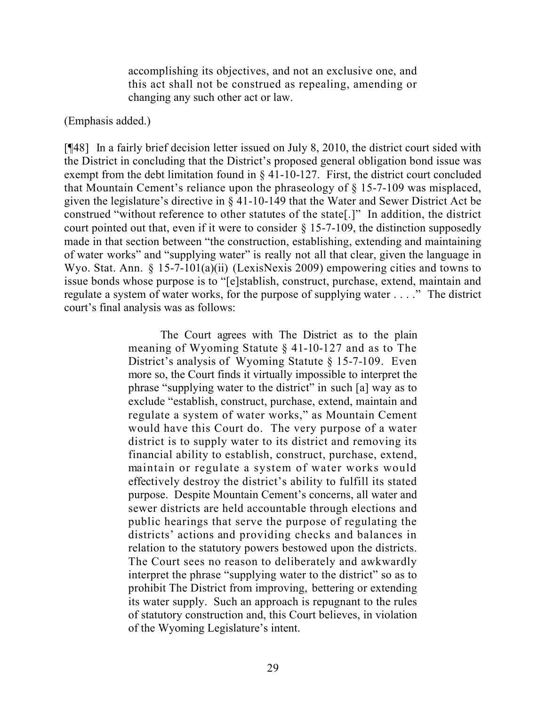accomplishing its objectives, and not an exclusive one, and this act shall not be construed as repealing, amending or changing any such other act or law.

### (Emphasis added.)

[¶48] In a fairly brief decision letter issued on July 8, 2010, the district court sided with the District in concluding that the District's proposed general obligation bond issue was exempt from the debt limitation found in § 41-10-127. First, the district court concluded that Mountain Cement's reliance upon the phraseology of § 15-7-109 was misplaced, given the legislature's directive in § 41-10-149 that the Water and Sewer District Act be construed "without reference to other statutes of the state[.]" In addition, the district court pointed out that, even if it were to consider  $\S 15$ -7-109, the distinction supposedly made in that section between "the construction, establishing, extending and maintaining of water works" and "supplying water" is really not all that clear, given the language in Wyo. Stat. Ann. § 15-7-101(a)(ii) (LexisNexis 2009) empowering cities and towns to issue bonds whose purpose is to "[e]stablish, construct, purchase, extend, maintain and regulate a system of water works, for the purpose of supplying water . . . ." The district court's final analysis was as follows:

> The Court agrees with The District as to the plain meaning of Wyoming Statute § 41-10-127 and as to The District's analysis of Wyoming Statute § 15-7-109. Even more so, the Court finds it virtually impossible to interpret the phrase "supplying water to the district" in such [a] way as to exclude "establish, construct, purchase, extend, maintain and regulate a system of water works," as Mountain Cement would have this Court do. The very purpose of a water district is to supply water to its district and removing its financial ability to establish, construct, purchase, extend, maintain or regulate a system of water works would effectively destroy the district's ability to fulfill its stated purpose. Despite Mountain Cement's concerns, all water and sewer districts are held accountable through elections and public hearings that serve the purpose of regulating the districts' actions and providing checks and balances in relation to the statutory powers bestowed upon the districts. The Court sees no reason to deliberately and awkwardly interpret the phrase "supplying water to the district" so as to prohibit The District from improving, bettering or extending its water supply. Such an approach is repugnant to the rules of statutory construction and, this Court believes, in violation of the Wyoming Legislature's intent.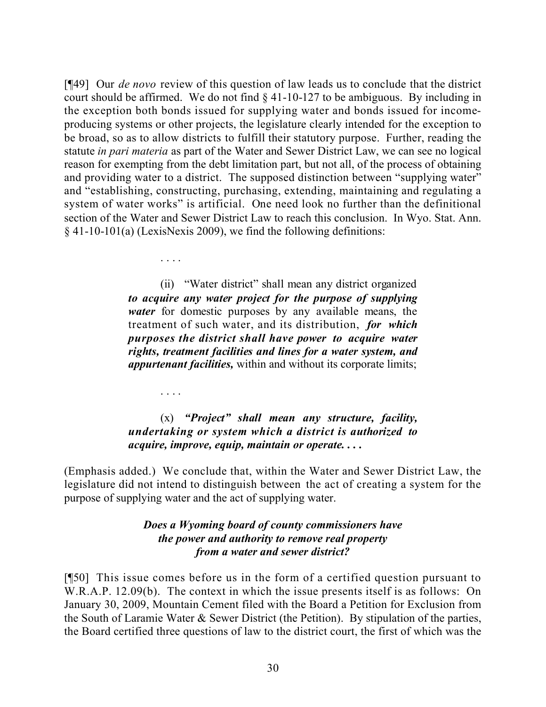[¶49] Our *de novo* review of this question of law leads us to conclude that the district court should be affirmed. We do not find § 41-10-127 to be ambiguous. By including in the exception both bonds issued for supplying water and bonds issued for incomeproducing systems or other projects, the legislature clearly intended for the exception to be broad, so as to allow districts to fulfill their statutory purpose. Further, reading the statute *in pari materia* as part of the Water and Sewer District Law, we can see no logical reason for exempting from the debt limitation part, but not all, of the process of obtaining and providing water to a district. The supposed distinction between "supplying water" and "establishing, constructing, purchasing, extending, maintaining and regulating a system of water works" is artificial. One need look no further than the definitional section of the Water and Sewer District Law to reach this conclusion. In Wyo. Stat. Ann. § 41-10-101(a) (LexisNexis 2009), we find the following definitions:

> (ii) "Water district" shall mean any district organized *to acquire any water project for the purpose of supplying water* for domestic purposes by any available means, the treatment of such water, and its distribution, *for which purposes the district shall have power to acquire water rights, treatment facilities and lines for a water system, and appurtenant facilities,* within and without its corporate limits;

. . . .

. . . .

# (x) *"Project" shall mean any structure, facility, undertaking or system which a district is authorized to acquire, improve, equip, maintain or operate. . . .*

(Emphasis added.) We conclude that, within the Water and Sewer District Law, the legislature did not intend to distinguish between the act of creating a system for the purpose of supplying water and the act of supplying water.

## *Does a Wyoming board of county commissioners have the power and authority to remove real property from a water and sewer district?*

[¶50] This issue comes before us in the form of a certified question pursuant to W.R.A.P. 12.09(b). The context in which the issue presents itself is as follows: On January 30, 2009, Mountain Cement filed with the Board a Petition for Exclusion from the South of Laramie Water & Sewer District (the Petition). By stipulation of the parties, the Board certified three questions of law to the district court, the first of which was the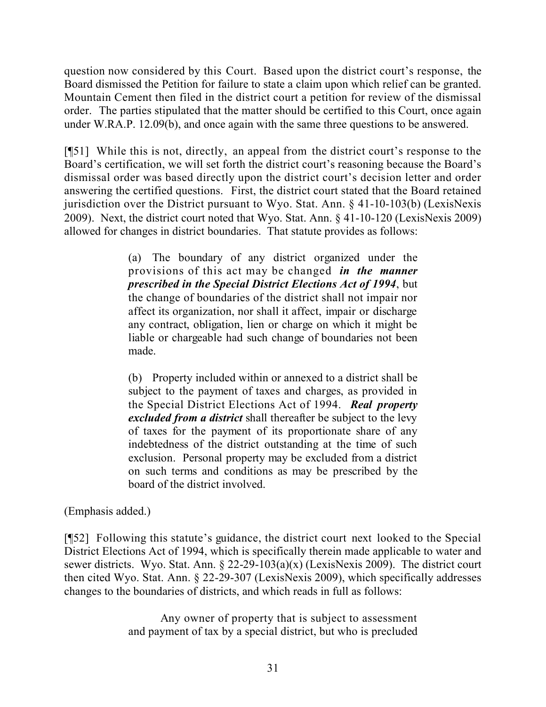question now considered by this Court. Based upon the district court's response, the Board dismissed the Petition for failure to state a claim upon which relief can be granted. Mountain Cement then filed in the district court a petition for review of the dismissal order. The parties stipulated that the matter should be certified to this Court, once again under W.RA.P. 12.09(b), and once again with the same three questions to be answered.

[¶51] While this is not, directly, an appeal from the district court's response to the Board's certification, we will set forth the district court's reasoning because the Board's dismissal order was based directly upon the district court's decision letter and order answering the certified questions. First, the district court stated that the Board retained jurisdiction over the District pursuant to Wyo. Stat. Ann. § 41-10-103(b) (LexisNexis 2009). Next, the district court noted that Wyo. Stat. Ann. § 41-10-120 (LexisNexis 2009) allowed for changes in district boundaries. That statute provides as follows:

> (a) The boundary of any district organized under the provisions of this act may be changed *in the manner prescribed in the Special District Elections Act of 1994*, but the change of boundaries of the district shall not impair nor affect its organization, nor shall it affect, impair or discharge any contract, obligation, lien or charge on which it might be liable or chargeable had such change of boundaries not been made.

> (b) Property included within or annexed to a district shall be subject to the payment of taxes and charges, as provided in the Special District Elections Act of 1994. *Real property excluded from a district* shall thereafter be subject to the levy of taxes for the payment of its proportionate share of any indebtedness of the district outstanding at the time of such exclusion. Personal property may be excluded from a district on such terms and conditions as may be prescribed by the board of the district involved.

(Emphasis added.)

[¶52] Following this statute's guidance, the district court next looked to the Special District Elections Act of 1994, which is specifically therein made applicable to water and sewer districts. Wyo. Stat. Ann. § 22-29-103(a)(x) (LexisNexis 2009). The district court then cited Wyo. Stat. Ann. § 22-29-307 (LexisNexis 2009), which specifically addresses changes to the boundaries of districts, and which reads in full as follows:

> Any owner of property that is subject to assessment and payment of tax by a special district, but who is precluded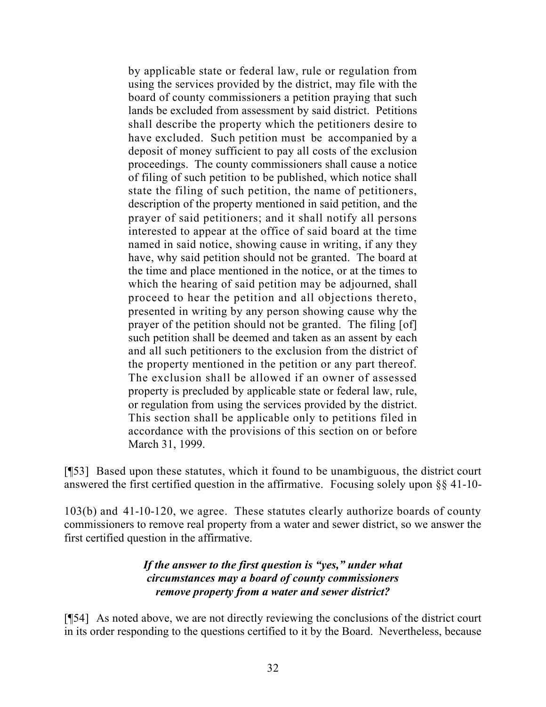by applicable state or federal law, rule or regulation from using the services provided by the district, may file with the board of county commissioners a petition praying that such lands be excluded from assessment by said district. Petitions shall describe the property which the petitioners desire to have excluded. Such petition must be accompanied by a deposit of money sufficient to pay all costs of the exclusion proceedings. The county commissioners shall cause a notice of filing of such petition to be published, which notice shall state the filing of such petition, the name of petitioners, description of the property mentioned in said petition, and the prayer of said petitioners; and it shall notify all persons interested to appear at the office of said board at the time named in said notice, showing cause in writing, if any they have, why said petition should not be granted. The board at the time and place mentioned in the notice, or at the times to which the hearing of said petition may be adjourned, shall proceed to hear the petition and all objections thereto, presented in writing by any person showing cause why the prayer of the petition should not be granted. The filing [of] such petition shall be deemed and taken as an assent by each and all such petitioners to the exclusion from the district of the property mentioned in the petition or any part thereof. The exclusion shall be allowed if an owner of assessed property is precluded by applicable state or federal law, rule, or regulation from using the services provided by the district. This section shall be applicable only to petitions filed in accordance with the provisions of this section on or before March 31, 1999.

[¶53] Based upon these statutes, which it found to be unambiguous, the district court answered the first certified question in the affirmative. Focusing solely upon §§ 41-10-

103(b) and 41-10-120, we agree. These statutes clearly authorize boards of county commissioners to remove real property from a water and sewer district, so we answer the first certified question in the affirmative.

# *If the answer to the first question is "yes," under what circumstances may a board of county commissioners remove property from a water and sewer district?*

[¶54] As noted above, we are not directly reviewing the conclusions of the district court in its order responding to the questions certified to it by the Board. Nevertheless, because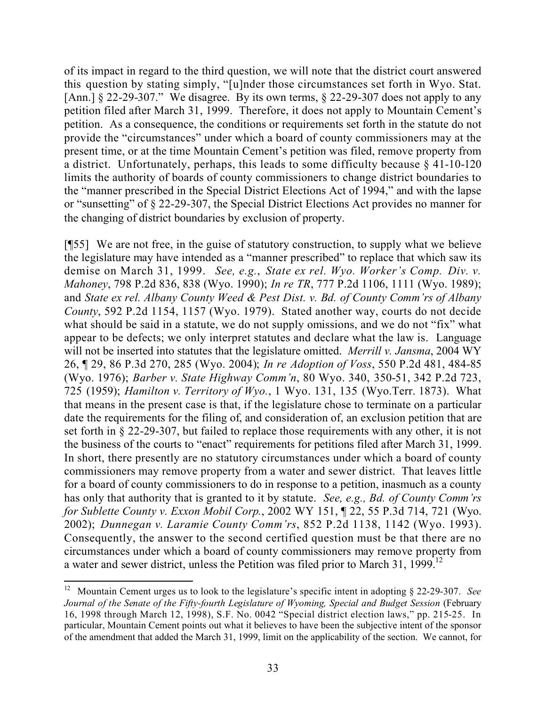of its impact in regard to the third question, we will note that the district court answered this question by stating simply, "[u]nder those circumstances set forth in Wyo. Stat. [Ann.]  $\S 22$ -29-307." We disagree. By its own terms,  $\S 22$ -29-307 does not apply to any petition filed after March 31, 1999. Therefore, it does not apply to Mountain Cement's petition. As a consequence, the conditions or requirements set forth in the statute do not provide the "circumstances" under which a board of county commissioners may at the present time, or at the time Mountain Cement's petition was filed, remove property from a district. Unfortunately, perhaps, this leads to some difficulty because § 41-10-120 limits the authority of boards of county commissioners to change district boundaries to the "manner prescribed in the Special District Elections Act of 1994," and with the lapse or "sunsetting" of § 22-29-307, the Special District Elections Act provides no manner for the changing of district boundaries by exclusion of property.

[¶55] We are not free, in the guise of statutory construction, to supply what we believe the legislature may have intended as a "manner prescribed" to replace that which saw its demise on March 31, 1999. *See, e.g.*, *State ex rel. Wyo. Worker's Comp. Div. v. Mahoney*, 798 P.2d 836, 838 (Wyo. 1990); *In re TR*, 777 P.2d 1106, 1111 (Wyo. 1989); and *State ex rel. Albany County Weed & Pest Dist. v. Bd. of County Comm'rs of Albany County*, 592 P.2d 1154, 1157 (Wyo. 1979). Stated another way, courts do not decide what should be said in a statute, we do not supply omissions, and we do not "fix" what appear to be defects; we only interpret statutes and declare what the law is. Language will not be inserted into statutes that the legislature omitted. *Merrill v. Jansma*, 2004 WY 26, ¶ 29, 86 P.3d 270, 285 (Wyo. 2004); *In re Adoption of Voss*, 550 P.2d 481, 484-85 (Wyo. 1976); *Barber v. State Highway Comm'n*, 80 Wyo. 340, 350-51, 342 P.2d 723, 725 (1959); *Hamilton v. Territory of Wyo.*, 1 Wyo. 131, 135 (Wyo.Terr. 1873). What that means in the present case is that, if the legislature chose to terminate on a particular date the requirements for the filing of, and consideration of, an exclusion petition that are set forth in § 22-29-307, but failed to replace those requirements with any other, it is not the business of the courts to "enact" requirements for petitions filed after March 31, 1999. In short, there presently are no statutory circumstances under which a board of county commissioners may remove property from a water and sewer district. That leaves little for a board of county commissioners to do in response to a petition, inasmuch as a county has only that authority that is granted to it by statute. *See, e.g., Bd. of County Comm'rs for Sublette County v. Exxon Mobil Corp.*, 2002 WY 151, ¶ 22, 55 P.3d 714, 721 (Wyo. 2002); *Dunnegan v. Laramie County Comm'rs*, 852 P.2d 1138, 1142 (Wyo. 1993). Consequently, the answer to the second certified question must be that there are no circumstances under which a board of county commissioners may remove property from a water and sewer district, unless the Petition was filed prior to March 31, 1999.<sup>12</sup>

 <sup>12</sup> Mountain Cement urges us to look to the legislature's specific intent in adopting § 22-29-307. *See Journal of the Senate of the Fifty-fourth Legislature of Wyoming, Special and Budget Session* (February 16, 1998 through March 12, 1998), S.F. No. 0042 "Special district election laws," pp. 215-25. In particular, Mountain Cement points out what it believes to have been the subjective intent of the sponsor of the amendment that added the March 31, 1999, limit on the applicability of the section. We cannot, for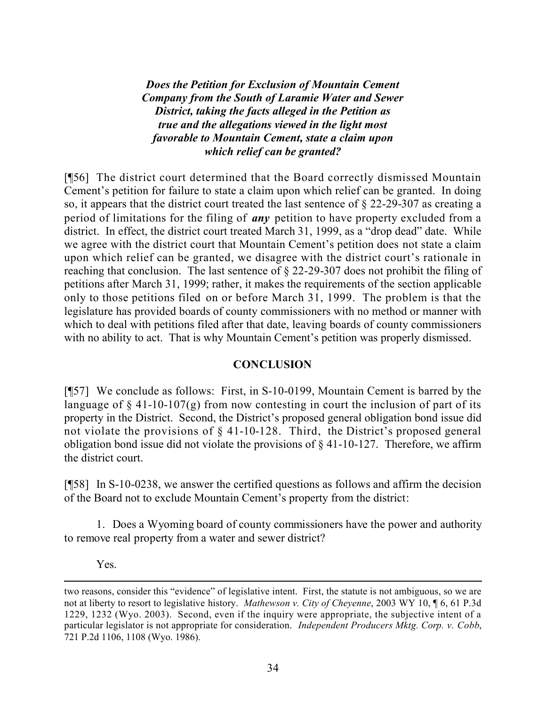*Does the Petition for Exclusion of Mountain Cement Company from the South of Laramie Water and Sewer District, taking the facts alleged in the Petition as true and the allegations viewed in the light most favorable to Mountain Cement, state a claim upon which relief can be granted?*

[¶56] The district court determined that the Board correctly dismissed Mountain Cement's petition for failure to state a claim upon which relief can be granted. In doing so, it appears that the district court treated the last sentence of § 22-29-307 as creating a period of limitations for the filing of *any* petition to have property excluded from a district. In effect, the district court treated March 31, 1999, as a "drop dead" date. While we agree with the district court that Mountain Cement's petition does not state a claim upon which relief can be granted, we disagree with the district court's rationale in reaching that conclusion. The last sentence of § 22-29-307 does not prohibit the filing of petitions after March 31, 1999; rather, it makes the requirements of the section applicable only to those petitions filed on or before March 31, 1999. The problem is that the legislature has provided boards of county commissioners with no method or manner with which to deal with petitions filed after that date, leaving boards of county commissioners with no ability to act. That is why Mountain Cement's petition was properly dismissed.

### **CONCLUSION**

[¶57] We conclude as follows: First, in S-10-0199, Mountain Cement is barred by the language of  $\S$  41-10-107(g) from now contesting in court the inclusion of part of its property in the District. Second, the District's proposed general obligation bond issue did not violate the provisions of § 41-10-128. Third, the District's proposed general obligation bond issue did not violate the provisions of  $\S$  41-10-127. Therefore, we affirm the district court.

[¶58] In S-10-0238, we answer the certified questions as follows and affirm the decision of the Board not to exclude Mountain Cement's property from the district:

1. Does a Wyoming board of county commissioners have the power and authority to remove real property from a water and sewer district?

Yes.

two reasons, consider this "evidence" of legislative intent. First, the statute is not ambiguous, so we are not at liberty to resort to legislative history. *Mathewson v. City of Cheyenne*, 2003 WY 10, ¶ 6, 61 P.3d 1229, 1232 (Wyo. 2003). Second, even if the inquiry were appropriate, the subjective intent of a particular legislator is not appropriate for consideration. *Independent Producers Mktg. Corp. v. Cobb*, 721 P.2d 1106, 1108 (Wyo. 1986).